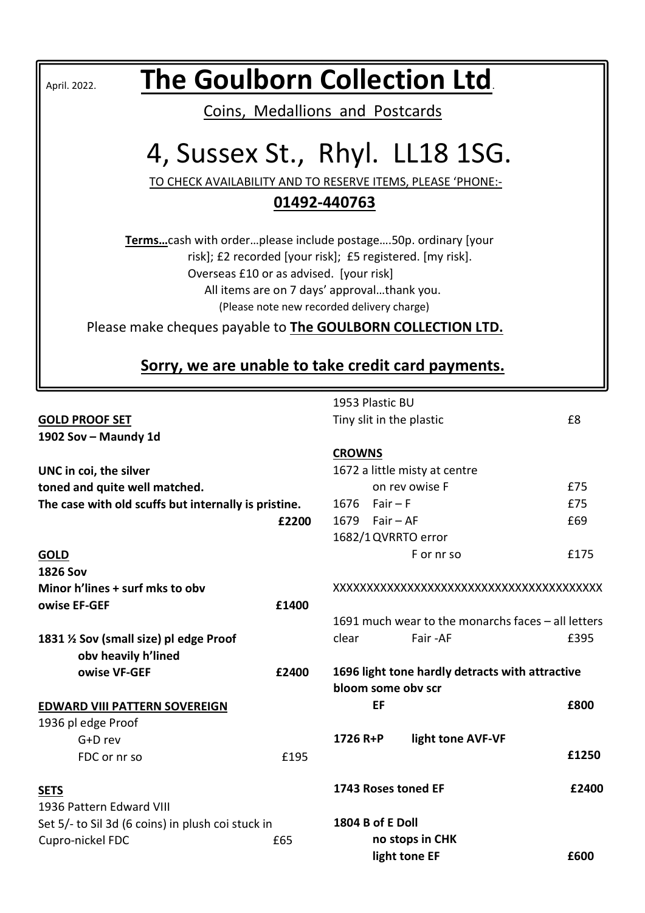| The Goulborn Collection Ltd.<br>April. 2022.                                                                                                                                                                                                                       |                                 |               |                  |                                                                       |       |
|--------------------------------------------------------------------------------------------------------------------------------------------------------------------------------------------------------------------------------------------------------------------|---------------------------------|---------------|------------------|-----------------------------------------------------------------------|-------|
|                                                                                                                                                                                                                                                                    | Coins, Medallions and Postcards |               |                  |                                                                       |       |
|                                                                                                                                                                                                                                                                    |                                 |               |                  |                                                                       |       |
|                                                                                                                                                                                                                                                                    | 4, Sussex St., Rhyl. LL18 1SG.  |               |                  |                                                                       |       |
| TO CHECK AVAILABILITY AND TO RESERVE ITEMS, PLEASE 'PHONE:-                                                                                                                                                                                                        |                                 |               |                  |                                                                       |       |
|                                                                                                                                                                                                                                                                    | 01492-440763                    |               |                  |                                                                       |       |
| Termscash with orderplease include postage50p. ordinary [your<br>risk]; £2 recorded [your risk]; £5 registered. [my risk].<br>Overseas £10 or as advised. [your risk]<br>All items are on 7 days' approvalthank you.<br>(Please note new recorded delivery charge) |                                 |               |                  |                                                                       |       |
| Please make cheques payable to <b>The GOULBORN COLLECTION LTD.</b>                                                                                                                                                                                                 |                                 |               |                  |                                                                       |       |
|                                                                                                                                                                                                                                                                    |                                 |               |                  |                                                                       |       |
| Sorry, we are unable to take credit card payments.                                                                                                                                                                                                                 |                                 |               |                  |                                                                       |       |
|                                                                                                                                                                                                                                                                    |                                 |               |                  |                                                                       |       |
| <b>GOLD PROOF SET</b><br>1902 Sov - Maundy 1d                                                                                                                                                                                                                      |                                 |               | 1953 Plastic BU  | Tiny slit in the plastic                                              | £8    |
|                                                                                                                                                                                                                                                                    |                                 | <b>CROWNS</b> |                  |                                                                       |       |
| UNC in coi, the silver                                                                                                                                                                                                                                             |                                 |               |                  | 1672 a little misty at centre                                         |       |
| toned and quite well matched.                                                                                                                                                                                                                                      |                                 |               |                  | on rev owise F                                                        | £75   |
| The case with old scuffs but internally is pristine.                                                                                                                                                                                                               |                                 |               | 1676 Fair $-F$   |                                                                       | £75   |
|                                                                                                                                                                                                                                                                    | £2200                           |               | 1679 Fair $-$ AF |                                                                       | £69   |
|                                                                                                                                                                                                                                                                    |                                 |               |                  | 1682/1 QVRRTO error<br>F or nr so                                     | £175  |
| <b>GOLD</b><br><b>1826 Sov</b>                                                                                                                                                                                                                                     |                                 |               |                  |                                                                       |       |
| Minor h'lines + surf mks to obv                                                                                                                                                                                                                                    |                                 |               |                  |                                                                       |       |
| owise EF-GEF                                                                                                                                                                                                                                                       | £1400                           |               |                  |                                                                       |       |
|                                                                                                                                                                                                                                                                    |                                 |               |                  | 1691 much wear to the monarchs faces - all letters                    |       |
| 1831 1/2 Sov (small size) pl edge Proof<br>obv heavily h'lined                                                                                                                                                                                                     |                                 | clear         |                  | Fair -AF                                                              | £395  |
| owise VF-GEF                                                                                                                                                                                                                                                       | £2400                           |               |                  | 1696 light tone hardly detracts with attractive<br>bloom some obv scr |       |
| <b>EDWARD VIII PATTERN SOVEREIGN</b>                                                                                                                                                                                                                               |                                 |               | EF               |                                                                       | £800  |
| 1936 pl edge Proof                                                                                                                                                                                                                                                 |                                 |               |                  |                                                                       |       |
| G+D rev                                                                                                                                                                                                                                                            |                                 | 1726 R+P      |                  | light tone AVF-VF                                                     |       |
| FDC or nr so                                                                                                                                                                                                                                                       | £195                            |               |                  |                                                                       | £1250 |
| <b>SETS</b><br>1936 Pattern Edward VIII                                                                                                                                                                                                                            |                                 |               |                  | 1743 Roses toned EF                                                   | £2400 |
| Set 5/- to Sil 3d (6 coins) in plush coi stuck in                                                                                                                                                                                                                  |                                 |               | 1804 B of E Doll |                                                                       |       |
| Cupro-nickel FDC                                                                                                                                                                                                                                                   | £65                             |               |                  | no stops in CHK<br>light tone EF                                      | £600  |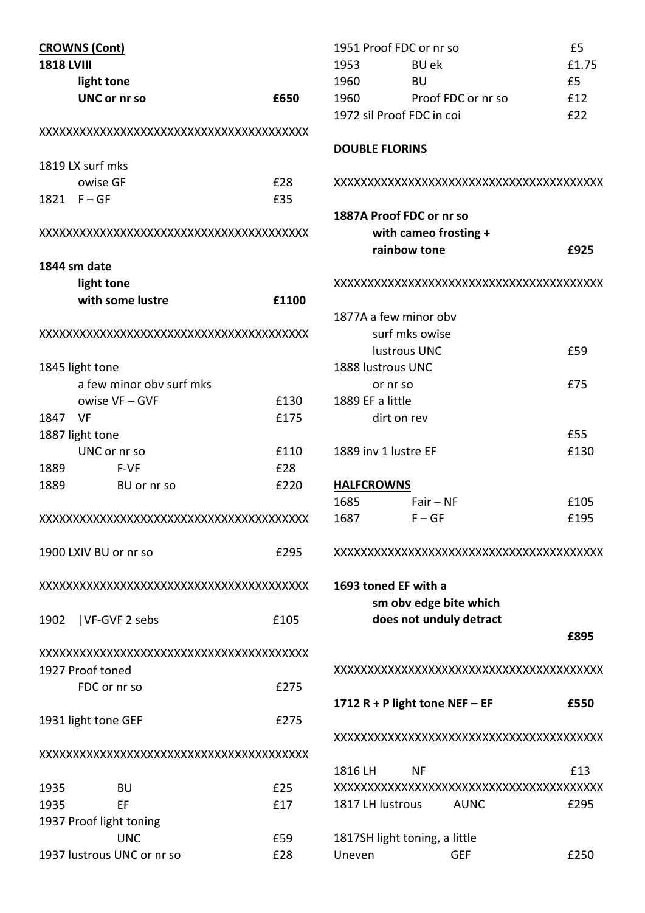|                   | <b>CROWNS (Cont)</b>       |       |
|-------------------|----------------------------|-------|
| <b>1818 LVIII</b> |                            |       |
|                   | light tone                 |       |
|                   | <b>UNC or nr so</b>        | £650  |
|                   |                            |       |
|                   | 1819 LX surf mks           |       |
|                   | owise GF                   | £28   |
| 1821 F-GF         |                            | £35   |
|                   |                            |       |
| 1844 sm date      |                            |       |
|                   | light tone                 |       |
|                   | with some lustre           | £1100 |
|                   |                            |       |
| 1845 light tone   |                            |       |
|                   | a few minor obv surf mks   |       |
|                   | owise VF - GVF             | £130  |
| 1847 VF           |                            | £175  |
| 1887 light tone   |                            |       |
|                   | UNC or nr so               | £110  |
| 1889              | F-VF                       | £28   |
| 1889              | BU or nr so                | £220  |
|                   |                            |       |
|                   |                            |       |
|                   | 1900 LXIV BU or nr so      | £295  |
|                   |                            |       |
|                   | 1902   VF-GVF 2 sebs       | £105  |
|                   | 1927 Proof toned           |       |
|                   | FDC or nr so               | £275  |
|                   |                            |       |
|                   | 1931 light tone GEF        | £275  |
|                   |                            |       |
| 1935              | BU                         | £25   |
| 1935              | ЕF                         | £17   |
|                   | 1937 Proof light toning    |       |
|                   | <b>UNC</b>                 | £59   |
|                   | 1937 lustrous UNC or nr so | £28   |

| 1951 Proof FDC or nr so   | £5                 |       |  |
|---------------------------|--------------------|-------|--|
| 1953                      | BU ek              | £1.75 |  |
| 1960                      | BU                 | £5    |  |
| 1960                      | Proof FDC or nr so | f12   |  |
| 1972 sil Proof FDC in coi |                    | f22   |  |
| <b>DOUBLE FLORINS</b>     |                    |       |  |

# XXXXXXXXXXXXXXXXXXXXXXXXXXXXXXXXXXXXXXXX 1887A Proof FDC or nr so with cameo frosting + rainbow tone **E925** XXXXXXXXXXXXXXXXXXXXXXXXXXXXXXXXXXXXXXXX 1877A a few minor obv surf mks owise lustrous UNC **E59** 1888 lustrous UNC or nr so £75 1889 EF a little dirt on rev  $\overline{55}$ 1889 inv 1 lustre EF 6130 **HALFCROWNS** 1685 Fair – NF £105 1687 F – GF 195

# XXXXXXXXXXXXXXXXXXXXXXXXXXXXXXXXXXXXXXXX

1693 toned EF with a sm obv edge bite which does not unduly detract £895

XXXXXXXXXXXXXXXXXXXXXXXXXXXXXXXXXXXXXXXX

1712 R + P light tone NEF – EF  $E$  £550

#### XXXXXXXXXXXXXXXXXXXXXXXXXXXXXXXXXXXXXXXX

| 1816 LH                       | NF |             | f13         |
|-------------------------------|----|-------------|-------------|
|                               |    |             |             |
| 1817 LH lustrous              |    | <b>AUNC</b> | £295        |
|                               |    |             |             |
| 1817SH light toning, a little |    |             |             |
| Uneven                        |    | GFF         | <b>£250</b> |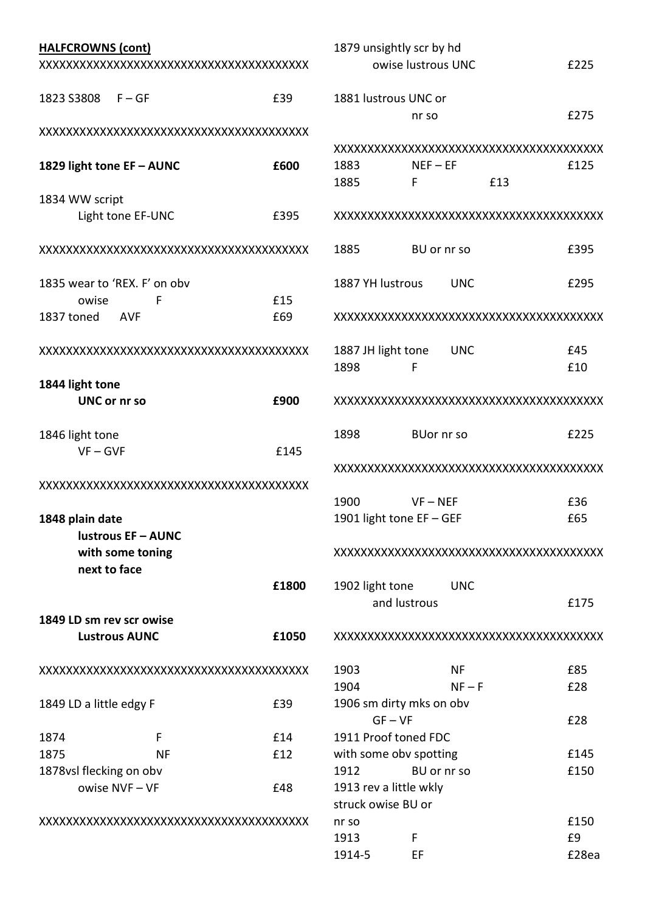| <b>HALFCROWNS (cont)</b> |                              |                    |                        | 1879 unsightly scr by hd              |       |
|--------------------------|------------------------------|--------------------|------------------------|---------------------------------------|-------|
|                          |                              | owise lustrous UNC | £225                   |                                       |       |
| 1823 S3808               | $F - GF$                     | £39                |                        | 1881 lustrous UNC or                  |       |
|                          |                              |                    |                        | nr so                                 | £275  |
|                          |                              |                    |                        |                                       |       |
|                          |                              |                    |                        |                                       |       |
|                          | 1829 light tone EF - AUNC    | £600               | 1883                   | $NEF - EF$                            | £125  |
|                          |                              |                    | 1885                   | F<br>£13                              |       |
| 1834 WW script           |                              |                    |                        |                                       |       |
|                          | Light tone EF-UNC            | £395               |                        |                                       |       |
|                          |                              |                    | 1885                   | BU or nr so                           | £395  |
|                          | 1835 wear to 'REX. F' on obv |                    | 1887 YH lustrous       | <b>UNC</b>                            | £295  |
| owise                    | F                            | £15                |                        |                                       |       |
| 1837 toned               | <b>AVF</b>                   | £69                |                        |                                       |       |
|                          |                              |                    | 1887 JH light tone     | <b>UNC</b>                            | £45   |
|                          |                              |                    | 1898                   | F                                     | £10   |
| 1844 light tone          |                              |                    |                        |                                       |       |
|                          | <b>UNC or nr so</b>          | £900               |                        |                                       |       |
| 1846 light tone          |                              |                    | 1898                   | <b>BUor nr so</b>                     | £225  |
|                          | $VF - GVF$                   | £145               |                        |                                       |       |
|                          |                              |                    |                        |                                       |       |
|                          |                              |                    |                        |                                       |       |
|                          |                              |                    | 1900                   | $VF - NEF$                            | £36   |
| 1848 plain date          |                              |                    |                        | 1901 light tone EF - GEF              | £65   |
|                          | lustrous EF - AUNC           |                    |                        |                                       |       |
|                          | with some toning             |                    |                        |                                       |       |
|                          | next to face                 |                    |                        |                                       |       |
|                          |                              | £1800              | 1902 light tone        | <b>UNC</b>                            |       |
|                          |                              |                    |                        | and lustrous                          | £175  |
|                          | 1849 LD sm rev scr owise     |                    |                        |                                       |       |
|                          | <b>Lustrous AUNC</b>         | £1050              |                        |                                       |       |
|                          |                              |                    | 1903                   | NF                                    | £85   |
|                          |                              |                    | 1904                   | $NF - F$                              | £28   |
| 1849 LD a little edgy F  |                              | £39                |                        | 1906 sm dirty mks on obv<br>$GF - VF$ |       |
|                          |                              |                    |                        |                                       | £28   |
| 1874                     | F                            | £14                |                        | 1911 Proof toned FDC                  |       |
| 1875                     | <b>NF</b>                    | £12                |                        | with some obv spotting                | £145  |
|                          | 1878vsl flecking on obv      |                    | 1912                   | BU or nr so                           | £150  |
| owise NVF-VF<br>£48      |                              |                    | 1913 rev a little wkly |                                       |       |
|                          |                              |                    | struck owise BU or     |                                       | £150  |
|                          |                              |                    | nr so<br>1913          |                                       | £9    |
|                          |                              |                    | 1914-5                 | F<br>EF                               | £28ea |
|                          |                              |                    |                        |                                       |       |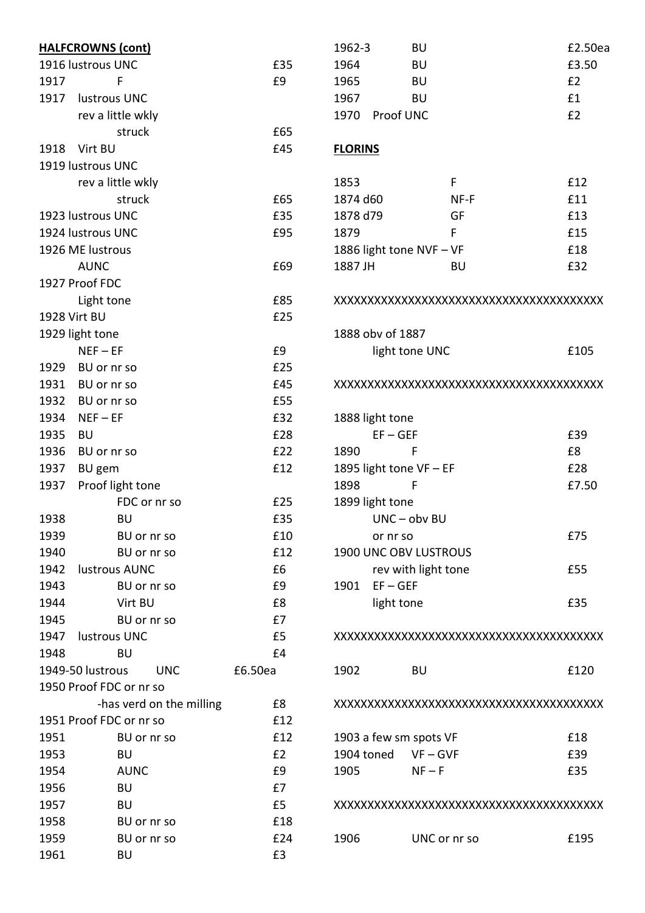| 1964<br>1916 lustrous UNC<br>£35<br><b>BU</b><br>£3.50<br>1917<br>£9<br>E2<br>F<br>1965<br>BU<br>£1<br>1917<br>lustrous UNC<br>1967<br><b>BU</b><br>E2<br>rev a little wkly<br>1970 Proof UNC<br>£65<br>struck<br>Virt BU<br>£45<br>1918<br><b>FLORINS</b><br>1919 lustrous UNC<br>rev a little wkly<br>1853<br>F<br>£12<br>£65<br>£11<br>struck<br>1874 d60<br>NF-F<br>1923 lustrous UNC<br>£35<br>GF<br>£13<br>1878 d79<br>1924 lustrous UNC<br>£95<br>£15<br>1879<br>F<br>£18<br>1926 ME lustrous<br>1886 light tone NVF - VF<br><b>AUNC</b><br>1887 JH<br>£32<br>£69<br>BU<br>1927 Proof FDC<br>£85<br>Light tone<br>1928 Virt BU<br>£25<br>1888 obv of 1887<br>1929 light tone<br>$NEF - EF$<br>£9<br>£105<br>light tone UNC<br>£25<br>1929 BU or nr so<br>1931<br>£45<br>BU or nr so<br>1932<br>£55<br>BU or nr so<br>1934<br>£32<br>$NEF - EF$<br>1888 light tone<br>1935<br>£28<br>$EF - GEF$<br>£39<br>BU<br>1936<br>£22<br>1890<br>F<br>£8<br>BU or nr so<br>1937<br>£12<br>1895 light tone VF - EF<br>£28<br>BU gem<br>Proof light tone<br>1898<br>F<br>£7.50<br>1937<br>£25<br>FDC or nr so<br>1899 light tone<br>£35<br>UNC-obv BU<br>1938<br><b>BU</b><br>£10<br>1939<br>BU or nr so<br>£75<br>or nr so<br>1900 UNC OBV LUSTROUS<br>1940<br>BU or nr so<br>£12<br>1942<br>lustrous AUNC<br>rev with light tone<br>£6<br>£55<br>$EF - GEF$<br>1943<br>£9<br>1901<br>BU or nr so<br>1944<br>Virt BU<br>£8<br>light tone<br>£35<br>1945<br>£7<br>BU or nr so<br>1947<br>lustrous UNC<br>£5<br>1948<br>£4<br>BU<br>1949-50 lustrous<br>£6.50ea<br>1902<br>£120<br><b>UNC</b><br><b>BU</b><br>1950 Proof FDC or nr so<br>-has verd on the milling<br>£8<br>1951 Proof FDC or nr so<br>£12<br>£12<br>£18<br>1951<br>BU or nr so<br>1903 a few sm spots VF<br>1953<br>E2<br>1904 toned<br>£39<br><b>BU</b><br>$VF - GVF$<br>£35<br>1954<br><b>AUNC</b><br>£9<br>1905<br>$NF - F$<br>1956<br>£7<br><b>BU</b><br>1957<br>£5<br><b>BU</b><br>1958<br>£18<br>BU or nr so<br>1959<br>1906<br>UNC or nr so<br>BU or nr so<br>£24<br>£195<br>1961<br>£3<br><b>BU</b> | <b>HALFCROWNS (cont)</b> | 1962-3 | BU | £2.50ea |
|----------------------------------------------------------------------------------------------------------------------------------------------------------------------------------------------------------------------------------------------------------------------------------------------------------------------------------------------------------------------------------------------------------------------------------------------------------------------------------------------------------------------------------------------------------------------------------------------------------------------------------------------------------------------------------------------------------------------------------------------------------------------------------------------------------------------------------------------------------------------------------------------------------------------------------------------------------------------------------------------------------------------------------------------------------------------------------------------------------------------------------------------------------------------------------------------------------------------------------------------------------------------------------------------------------------------------------------------------------------------------------------------------------------------------------------------------------------------------------------------------------------------------------------------------------------------------------------------------------------------------------------------------------------------------------------------------------------------------------------------------------------------------------------------------------------------------------------------------------------------------------------------------------------------------------------------------------------------------------------------------------------------------------------------------------------------|--------------------------|--------|----|---------|
|                                                                                                                                                                                                                                                                                                                                                                                                                                                                                                                                                                                                                                                                                                                                                                                                                                                                                                                                                                                                                                                                                                                                                                                                                                                                                                                                                                                                                                                                                                                                                                                                                                                                                                                                                                                                                                                                                                                                                                                                                                                                      |                          |        |    |         |
|                                                                                                                                                                                                                                                                                                                                                                                                                                                                                                                                                                                                                                                                                                                                                                                                                                                                                                                                                                                                                                                                                                                                                                                                                                                                                                                                                                                                                                                                                                                                                                                                                                                                                                                                                                                                                                                                                                                                                                                                                                                                      |                          |        |    |         |
|                                                                                                                                                                                                                                                                                                                                                                                                                                                                                                                                                                                                                                                                                                                                                                                                                                                                                                                                                                                                                                                                                                                                                                                                                                                                                                                                                                                                                                                                                                                                                                                                                                                                                                                                                                                                                                                                                                                                                                                                                                                                      |                          |        |    |         |
|                                                                                                                                                                                                                                                                                                                                                                                                                                                                                                                                                                                                                                                                                                                                                                                                                                                                                                                                                                                                                                                                                                                                                                                                                                                                                                                                                                                                                                                                                                                                                                                                                                                                                                                                                                                                                                                                                                                                                                                                                                                                      |                          |        |    |         |
|                                                                                                                                                                                                                                                                                                                                                                                                                                                                                                                                                                                                                                                                                                                                                                                                                                                                                                                                                                                                                                                                                                                                                                                                                                                                                                                                                                                                                                                                                                                                                                                                                                                                                                                                                                                                                                                                                                                                                                                                                                                                      |                          |        |    |         |
|                                                                                                                                                                                                                                                                                                                                                                                                                                                                                                                                                                                                                                                                                                                                                                                                                                                                                                                                                                                                                                                                                                                                                                                                                                                                                                                                                                                                                                                                                                                                                                                                                                                                                                                                                                                                                                                                                                                                                                                                                                                                      |                          |        |    |         |
|                                                                                                                                                                                                                                                                                                                                                                                                                                                                                                                                                                                                                                                                                                                                                                                                                                                                                                                                                                                                                                                                                                                                                                                                                                                                                                                                                                                                                                                                                                                                                                                                                                                                                                                                                                                                                                                                                                                                                                                                                                                                      |                          |        |    |         |
|                                                                                                                                                                                                                                                                                                                                                                                                                                                                                                                                                                                                                                                                                                                                                                                                                                                                                                                                                                                                                                                                                                                                                                                                                                                                                                                                                                                                                                                                                                                                                                                                                                                                                                                                                                                                                                                                                                                                                                                                                                                                      |                          |        |    |         |
|                                                                                                                                                                                                                                                                                                                                                                                                                                                                                                                                                                                                                                                                                                                                                                                                                                                                                                                                                                                                                                                                                                                                                                                                                                                                                                                                                                                                                                                                                                                                                                                                                                                                                                                                                                                                                                                                                                                                                                                                                                                                      |                          |        |    |         |
|                                                                                                                                                                                                                                                                                                                                                                                                                                                                                                                                                                                                                                                                                                                                                                                                                                                                                                                                                                                                                                                                                                                                                                                                                                                                                                                                                                                                                                                                                                                                                                                                                                                                                                                                                                                                                                                                                                                                                                                                                                                                      |                          |        |    |         |
|                                                                                                                                                                                                                                                                                                                                                                                                                                                                                                                                                                                                                                                                                                                                                                                                                                                                                                                                                                                                                                                                                                                                                                                                                                                                                                                                                                                                                                                                                                                                                                                                                                                                                                                                                                                                                                                                                                                                                                                                                                                                      |                          |        |    |         |
|                                                                                                                                                                                                                                                                                                                                                                                                                                                                                                                                                                                                                                                                                                                                                                                                                                                                                                                                                                                                                                                                                                                                                                                                                                                                                                                                                                                                                                                                                                                                                                                                                                                                                                                                                                                                                                                                                                                                                                                                                                                                      |                          |        |    |         |
|                                                                                                                                                                                                                                                                                                                                                                                                                                                                                                                                                                                                                                                                                                                                                                                                                                                                                                                                                                                                                                                                                                                                                                                                                                                                                                                                                                                                                                                                                                                                                                                                                                                                                                                                                                                                                                                                                                                                                                                                                                                                      |                          |        |    |         |
|                                                                                                                                                                                                                                                                                                                                                                                                                                                                                                                                                                                                                                                                                                                                                                                                                                                                                                                                                                                                                                                                                                                                                                                                                                                                                                                                                                                                                                                                                                                                                                                                                                                                                                                                                                                                                                                                                                                                                                                                                                                                      |                          |        |    |         |
|                                                                                                                                                                                                                                                                                                                                                                                                                                                                                                                                                                                                                                                                                                                                                                                                                                                                                                                                                                                                                                                                                                                                                                                                                                                                                                                                                                                                                                                                                                                                                                                                                                                                                                                                                                                                                                                                                                                                                                                                                                                                      |                          |        |    |         |
|                                                                                                                                                                                                                                                                                                                                                                                                                                                                                                                                                                                                                                                                                                                                                                                                                                                                                                                                                                                                                                                                                                                                                                                                                                                                                                                                                                                                                                                                                                                                                                                                                                                                                                                                                                                                                                                                                                                                                                                                                                                                      |                          |        |    |         |
|                                                                                                                                                                                                                                                                                                                                                                                                                                                                                                                                                                                                                                                                                                                                                                                                                                                                                                                                                                                                                                                                                                                                                                                                                                                                                                                                                                                                                                                                                                                                                                                                                                                                                                                                                                                                                                                                                                                                                                                                                                                                      |                          |        |    |         |
|                                                                                                                                                                                                                                                                                                                                                                                                                                                                                                                                                                                                                                                                                                                                                                                                                                                                                                                                                                                                                                                                                                                                                                                                                                                                                                                                                                                                                                                                                                                                                                                                                                                                                                                                                                                                                                                                                                                                                                                                                                                                      |                          |        |    |         |
|                                                                                                                                                                                                                                                                                                                                                                                                                                                                                                                                                                                                                                                                                                                                                                                                                                                                                                                                                                                                                                                                                                                                                                                                                                                                                                                                                                                                                                                                                                                                                                                                                                                                                                                                                                                                                                                                                                                                                                                                                                                                      |                          |        |    |         |
|                                                                                                                                                                                                                                                                                                                                                                                                                                                                                                                                                                                                                                                                                                                                                                                                                                                                                                                                                                                                                                                                                                                                                                                                                                                                                                                                                                                                                                                                                                                                                                                                                                                                                                                                                                                                                                                                                                                                                                                                                                                                      |                          |        |    |         |
|                                                                                                                                                                                                                                                                                                                                                                                                                                                                                                                                                                                                                                                                                                                                                                                                                                                                                                                                                                                                                                                                                                                                                                                                                                                                                                                                                                                                                                                                                                                                                                                                                                                                                                                                                                                                                                                                                                                                                                                                                                                                      |                          |        |    |         |
|                                                                                                                                                                                                                                                                                                                                                                                                                                                                                                                                                                                                                                                                                                                                                                                                                                                                                                                                                                                                                                                                                                                                                                                                                                                                                                                                                                                                                                                                                                                                                                                                                                                                                                                                                                                                                                                                                                                                                                                                                                                                      |                          |        |    |         |
|                                                                                                                                                                                                                                                                                                                                                                                                                                                                                                                                                                                                                                                                                                                                                                                                                                                                                                                                                                                                                                                                                                                                                                                                                                                                                                                                                                                                                                                                                                                                                                                                                                                                                                                                                                                                                                                                                                                                                                                                                                                                      |                          |        |    |         |
|                                                                                                                                                                                                                                                                                                                                                                                                                                                                                                                                                                                                                                                                                                                                                                                                                                                                                                                                                                                                                                                                                                                                                                                                                                                                                                                                                                                                                                                                                                                                                                                                                                                                                                                                                                                                                                                                                                                                                                                                                                                                      |                          |        |    |         |
|                                                                                                                                                                                                                                                                                                                                                                                                                                                                                                                                                                                                                                                                                                                                                                                                                                                                                                                                                                                                                                                                                                                                                                                                                                                                                                                                                                                                                                                                                                                                                                                                                                                                                                                                                                                                                                                                                                                                                                                                                                                                      |                          |        |    |         |
|                                                                                                                                                                                                                                                                                                                                                                                                                                                                                                                                                                                                                                                                                                                                                                                                                                                                                                                                                                                                                                                                                                                                                                                                                                                                                                                                                                                                                                                                                                                                                                                                                                                                                                                                                                                                                                                                                                                                                                                                                                                                      |                          |        |    |         |
|                                                                                                                                                                                                                                                                                                                                                                                                                                                                                                                                                                                                                                                                                                                                                                                                                                                                                                                                                                                                                                                                                                                                                                                                                                                                                                                                                                                                                                                                                                                                                                                                                                                                                                                                                                                                                                                                                                                                                                                                                                                                      |                          |        |    |         |
|                                                                                                                                                                                                                                                                                                                                                                                                                                                                                                                                                                                                                                                                                                                                                                                                                                                                                                                                                                                                                                                                                                                                                                                                                                                                                                                                                                                                                                                                                                                                                                                                                                                                                                                                                                                                                                                                                                                                                                                                                                                                      |                          |        |    |         |
|                                                                                                                                                                                                                                                                                                                                                                                                                                                                                                                                                                                                                                                                                                                                                                                                                                                                                                                                                                                                                                                                                                                                                                                                                                                                                                                                                                                                                                                                                                                                                                                                                                                                                                                                                                                                                                                                                                                                                                                                                                                                      |                          |        |    |         |
|                                                                                                                                                                                                                                                                                                                                                                                                                                                                                                                                                                                                                                                                                                                                                                                                                                                                                                                                                                                                                                                                                                                                                                                                                                                                                                                                                                                                                                                                                                                                                                                                                                                                                                                                                                                                                                                                                                                                                                                                                                                                      |                          |        |    |         |
|                                                                                                                                                                                                                                                                                                                                                                                                                                                                                                                                                                                                                                                                                                                                                                                                                                                                                                                                                                                                                                                                                                                                                                                                                                                                                                                                                                                                                                                                                                                                                                                                                                                                                                                                                                                                                                                                                                                                                                                                                                                                      |                          |        |    |         |
|                                                                                                                                                                                                                                                                                                                                                                                                                                                                                                                                                                                                                                                                                                                                                                                                                                                                                                                                                                                                                                                                                                                                                                                                                                                                                                                                                                                                                                                                                                                                                                                                                                                                                                                                                                                                                                                                                                                                                                                                                                                                      |                          |        |    |         |
|                                                                                                                                                                                                                                                                                                                                                                                                                                                                                                                                                                                                                                                                                                                                                                                                                                                                                                                                                                                                                                                                                                                                                                                                                                                                                                                                                                                                                                                                                                                                                                                                                                                                                                                                                                                                                                                                                                                                                                                                                                                                      |                          |        |    |         |
|                                                                                                                                                                                                                                                                                                                                                                                                                                                                                                                                                                                                                                                                                                                                                                                                                                                                                                                                                                                                                                                                                                                                                                                                                                                                                                                                                                                                                                                                                                                                                                                                                                                                                                                                                                                                                                                                                                                                                                                                                                                                      |                          |        |    |         |
|                                                                                                                                                                                                                                                                                                                                                                                                                                                                                                                                                                                                                                                                                                                                                                                                                                                                                                                                                                                                                                                                                                                                                                                                                                                                                                                                                                                                                                                                                                                                                                                                                                                                                                                                                                                                                                                                                                                                                                                                                                                                      |                          |        |    |         |
|                                                                                                                                                                                                                                                                                                                                                                                                                                                                                                                                                                                                                                                                                                                                                                                                                                                                                                                                                                                                                                                                                                                                                                                                                                                                                                                                                                                                                                                                                                                                                                                                                                                                                                                                                                                                                                                                                                                                                                                                                                                                      |                          |        |    |         |
|                                                                                                                                                                                                                                                                                                                                                                                                                                                                                                                                                                                                                                                                                                                                                                                                                                                                                                                                                                                                                                                                                                                                                                                                                                                                                                                                                                                                                                                                                                                                                                                                                                                                                                                                                                                                                                                                                                                                                                                                                                                                      |                          |        |    |         |
|                                                                                                                                                                                                                                                                                                                                                                                                                                                                                                                                                                                                                                                                                                                                                                                                                                                                                                                                                                                                                                                                                                                                                                                                                                                                                                                                                                                                                                                                                                                                                                                                                                                                                                                                                                                                                                                                                                                                                                                                                                                                      |                          |        |    |         |
|                                                                                                                                                                                                                                                                                                                                                                                                                                                                                                                                                                                                                                                                                                                                                                                                                                                                                                                                                                                                                                                                                                                                                                                                                                                                                                                                                                                                                                                                                                                                                                                                                                                                                                                                                                                                                                                                                                                                                                                                                                                                      |                          |        |    |         |
|                                                                                                                                                                                                                                                                                                                                                                                                                                                                                                                                                                                                                                                                                                                                                                                                                                                                                                                                                                                                                                                                                                                                                                                                                                                                                                                                                                                                                                                                                                                                                                                                                                                                                                                                                                                                                                                                                                                                                                                                                                                                      |                          |        |    |         |
|                                                                                                                                                                                                                                                                                                                                                                                                                                                                                                                                                                                                                                                                                                                                                                                                                                                                                                                                                                                                                                                                                                                                                                                                                                                                                                                                                                                                                                                                                                                                                                                                                                                                                                                                                                                                                                                                                                                                                                                                                                                                      |                          |        |    |         |
|                                                                                                                                                                                                                                                                                                                                                                                                                                                                                                                                                                                                                                                                                                                                                                                                                                                                                                                                                                                                                                                                                                                                                                                                                                                                                                                                                                                                                                                                                                                                                                                                                                                                                                                                                                                                                                                                                                                                                                                                                                                                      |                          |        |    |         |
|                                                                                                                                                                                                                                                                                                                                                                                                                                                                                                                                                                                                                                                                                                                                                                                                                                                                                                                                                                                                                                                                                                                                                                                                                                                                                                                                                                                                                                                                                                                                                                                                                                                                                                                                                                                                                                                                                                                                                                                                                                                                      |                          |        |    |         |
|                                                                                                                                                                                                                                                                                                                                                                                                                                                                                                                                                                                                                                                                                                                                                                                                                                                                                                                                                                                                                                                                                                                                                                                                                                                                                                                                                                                                                                                                                                                                                                                                                                                                                                                                                                                                                                                                                                                                                                                                                                                                      |                          |        |    |         |
|                                                                                                                                                                                                                                                                                                                                                                                                                                                                                                                                                                                                                                                                                                                                                                                                                                                                                                                                                                                                                                                                                                                                                                                                                                                                                                                                                                                                                                                                                                                                                                                                                                                                                                                                                                                                                                                                                                                                                                                                                                                                      |                          |        |    |         |
|                                                                                                                                                                                                                                                                                                                                                                                                                                                                                                                                                                                                                                                                                                                                                                                                                                                                                                                                                                                                                                                                                                                                                                                                                                                                                                                                                                                                                                                                                                                                                                                                                                                                                                                                                                                                                                                                                                                                                                                                                                                                      |                          |        |    |         |
|                                                                                                                                                                                                                                                                                                                                                                                                                                                                                                                                                                                                                                                                                                                                                                                                                                                                                                                                                                                                                                                                                                                                                                                                                                                                                                                                                                                                                                                                                                                                                                                                                                                                                                                                                                                                                                                                                                                                                                                                                                                                      |                          |        |    |         |
|                                                                                                                                                                                                                                                                                                                                                                                                                                                                                                                                                                                                                                                                                                                                                                                                                                                                                                                                                                                                                                                                                                                                                                                                                                                                                                                                                                                                                                                                                                                                                                                                                                                                                                                                                                                                                                                                                                                                                                                                                                                                      |                          |        |    |         |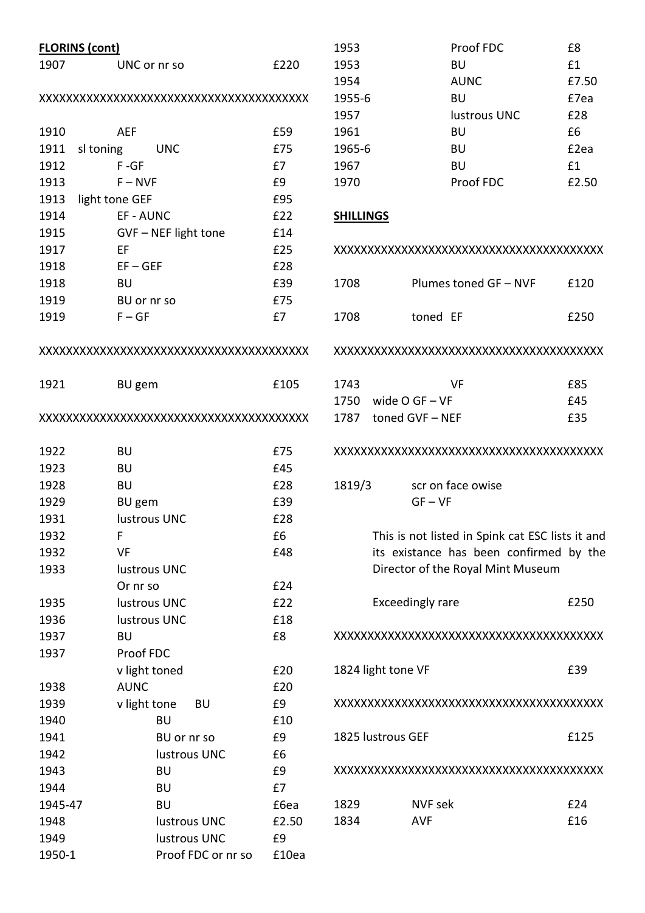| £220<br><b>BU</b><br>1907<br>1953<br>UNC or nr so<br>1954<br><b>AUNC</b><br><b>BU</b><br>1955-6<br>1957<br>lustrous UNC<br><b>AEF</b><br>1961<br><b>BU</b><br>1910<br>£59<br>1911<br>£75<br>1965-6<br>sl toning<br><b>UNC</b><br>BU | £1<br>£7.5<br>£7e<br>£28<br>£6<br>£2e<br>£1<br>£2.5 |
|-------------------------------------------------------------------------------------------------------------------------------------------------------------------------------------------------------------------------------------|-----------------------------------------------------|
|                                                                                                                                                                                                                                     |                                                     |
|                                                                                                                                                                                                                                     |                                                     |
|                                                                                                                                                                                                                                     |                                                     |
|                                                                                                                                                                                                                                     |                                                     |
|                                                                                                                                                                                                                                     |                                                     |
|                                                                                                                                                                                                                                     |                                                     |
| $F - GF$<br>1912<br>£7<br>1967<br><b>BU</b>                                                                                                                                                                                         |                                                     |
| Proof FDC<br>1913<br>£9<br>1970<br>$F - NVF$                                                                                                                                                                                        |                                                     |
| 1913<br>£95<br>light tone GEF                                                                                                                                                                                                       |                                                     |
| 1914<br>£22<br>EF - AUNC<br><b>SHILLINGS</b>                                                                                                                                                                                        |                                                     |
| 1915<br>GVF - NEF light tone<br>£14                                                                                                                                                                                                 |                                                     |
| 1917<br>EF<br>£25<br>XXXXXXXXXXXXXXXXXXXXXXXXXXXXXXXXXXXXXX                                                                                                                                                                         |                                                     |
| 1918<br>$EF - GEF$<br>£28                                                                                                                                                                                                           |                                                     |
| 1918<br><b>BU</b><br>£39<br>Plumes toned GF - NVF<br>1708                                                                                                                                                                           | £12                                                 |
| £75<br>1919<br>BU or nr so                                                                                                                                                                                                          |                                                     |
| £7<br>1919<br>$F - GF$<br>1708<br>toned EF                                                                                                                                                                                          | £25                                                 |
| XXXXXXXXXXXXXXXXXXXXXXXXXXXXXXXXXXXXXX                                                                                                                                                                                              |                                                     |
| £105<br>1743<br><b>VF</b><br>1921<br>BU gem                                                                                                                                                                                         | £85                                                 |
| 1750<br>wide $O$ GF $-$ VF                                                                                                                                                                                                          | £45                                                 |
| 1787 toned GVF-NEF                                                                                                                                                                                                                  | £35                                                 |
| <b>BU</b><br>1922<br>£75<br>XXXXXXXXXXXXXXXXXXXXXXXXXXXXXXXXXXXXXX                                                                                                                                                                  |                                                     |
| 1923<br>£45<br><b>BU</b>                                                                                                                                                                                                            |                                                     |
| 1928<br>£28<br>1819/3<br><b>BU</b><br>scr on face owise                                                                                                                                                                             |                                                     |
| £39<br>1929<br>BU gem<br>$GF - VF$                                                                                                                                                                                                  |                                                     |
| 1931<br>£28<br>lustrous UNC                                                                                                                                                                                                         |                                                     |
| £6<br>This is not listed in Spink cat ESC lists it a<br>1932<br>F                                                                                                                                                                   |                                                     |
| 1932<br>its existance has been confirmed by<br>VF<br>£48                                                                                                                                                                            |                                                     |
| Director of the Royal Mint Museum<br>1933<br>lustrous UNC                                                                                                                                                                           |                                                     |
| £24<br>Or nr so                                                                                                                                                                                                                     |                                                     |
| <b>Exceedingly rare</b><br>£22<br>lustrous UNC<br>1935                                                                                                                                                                              | £25                                                 |
| £18<br>1936<br>lustrous UNC                                                                                                                                                                                                         |                                                     |
| £8<br>1937<br>BU<br>XXXXXXXXXXXXXXXXXXXXXXXXXXXXXXXXXXXXX                                                                                                                                                                           |                                                     |
| 1937<br>Proof FDC                                                                                                                                                                                                                   |                                                     |
| £20<br>1824 light tone VF<br>v light toned                                                                                                                                                                                          | £39                                                 |
| <b>AUNC</b><br>£20<br>1938                                                                                                                                                                                                          |                                                     |
| £9<br>1939<br>v light tone<br>XXXXXXXXXXXXXXXXXXXXXXXXXXXXXXXXXXXXXX<br>BU                                                                                                                                                          |                                                     |
| 1940<br><b>BU</b><br>£10                                                                                                                                                                                                            |                                                     |
| 1825 lustrous GEF<br>£9<br>1941<br>BU or nr so                                                                                                                                                                                      | £12                                                 |
| 1942<br>lustrous UNC<br>£6                                                                                                                                                                                                          |                                                     |
| 1943<br><b>BU</b><br>£9<br>XXXXXXXXXXXXXXXXXXXXXXXXXXXXXXXXXXXXXX                                                                                                                                                                   |                                                     |
| £7<br>1944<br><b>BU</b>                                                                                                                                                                                                             |                                                     |
| 1945-47<br><b>BU</b><br>£6ea<br>1829<br>NVF sek                                                                                                                                                                                     | £24                                                 |
| 1834<br><b>AVF</b><br>1948<br>lustrous UNC<br>£2.50                                                                                                                                                                                 | £16                                                 |
| 1949<br>lustrous UNC<br>£9                                                                                                                                                                                                          |                                                     |
| 1950-1<br>Proof FDC or nr so<br>£10ea                                                                                                                                                                                               |                                                     |

| 1953                  | Proof FDC             | £8    |
|-----------------------|-----------------------|-------|
| 1953                  | BU                    | £1    |
| 1954                  | <b>AUNC</b>           | £7.50 |
| 1955-6                | BU                    | £7ea  |
| 1957                  | lustrous UNC          | £28   |
| 1961                  | BU                    | £6    |
| 1965-6                | <b>BU</b>             | £2ea  |
| 1967                  | <b>BU</b>             | f1    |
| 1970                  | Proof FDC             | £2.50 |
| <b>SHILLINGS</b>      |                       |       |
|                       |                       |       |
| 1708                  | Plumes toned GF - NVF | £120  |
| toned EF<br>1708      |                       | £250  |
|                       |                       |       |
| 1743                  | VF                    | £85   |
| 1750 wide $O$ GF - VF |                       | £45   |

#### XXXXXXXXXXXXXXXXXXXXXXXXXXXXXXXXXXXXXXXX

| 1819/3 | scr on face owise |
|--------|-------------------|
|        | $GF - VF$         |

This is not listed in Spink cat ESC lists it and its existance has been confirmed by the Director of the Royal Mint Museum

| Exceedingly rare | £250 |
|------------------|------|
|------------------|------|

XXXXXXXXXXXXXXXXXXXXXXXXXXXXXXXXXXXXXXXX

| 1824 light tone VF | £39 |
|--------------------|-----|
|--------------------|-----|

XXXXXXXXXXXXXXXXXXXXXXXXXXXXXXXXXXXXXXXX

| 1825 Iustrous GEF |         | £125 |
|-------------------|---------|------|
|                   |         |      |
| 1829              | NVF sek | f74  |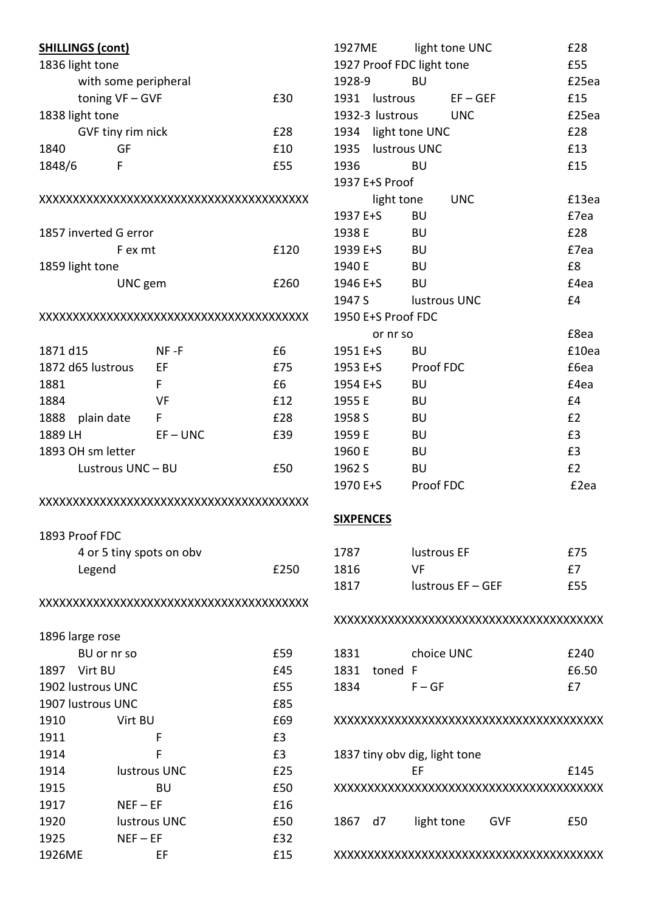| <b>SHILLINGS (cont)</b> |                      |                          |      |
|-------------------------|----------------------|--------------------------|------|
| 1836 light tone         |                      |                          |      |
|                         | with some peripheral |                          |      |
|                         | toning VF-GVF        |                          | £30  |
| 1838 light tone         |                      |                          |      |
|                         | GVF tiny rim nick    |                          | £28  |
| 1840                    | GF                   |                          | £10  |
| 1848/6                  | F                    |                          | £55  |
|                         |                      |                          |      |
|                         |                      |                          |      |
| 1857 inverted G error   |                      |                          |      |
|                         | F ex mt              |                          | £120 |
| 1859 light tone         |                      |                          |      |
|                         | UNC gem              |                          | £260 |
|                         |                      |                          |      |
| 1871 d15                |                      | NF -F                    | £6   |
| 1872 d65 lustrous       |                      | EF                       | £75  |
| 1881                    |                      | F                        | £6   |
| 1884                    |                      | VF                       | £12  |
| 1888 plain date         |                      | F                        | £28  |
| 1889 LH                 |                      | $EF - UNC$               | £39  |
| 1893 OH sm letter       |                      |                          |      |
|                         | Lustrous UNC - BU    |                          | £50  |
|                         |                      |                          |      |
| 1893 Proof FDC          |                      |                          |      |
|                         |                      | 4 or 5 tiny spots on obv |      |
| Legend                  |                      |                          | £250 |
|                         |                      |                          |      |
| 1896 large rose         |                      |                          |      |
| BU or nr so             |                      |                          | £59  |
| 1897 Virt BU            |                      |                          | £45  |
| 1902 lustrous UNC       |                      |                          | £55  |
| 1907 lustrous UNC       |                      |                          | £85  |
| 1910                    | Virt BU              |                          | £69  |
| 1911                    |                      | F                        | £3   |
| 1914                    |                      | F                        | £3   |
| 1914                    |                      | lustrous UNC             | £25  |
| 1915                    |                      | BU                       | £50  |
| 1917                    | $NEF - EF$           |                          | £16  |
| 1920                    |                      | lustrous UNC             | £50  |
| 1925                    | $NEF - EF$           |                          | £32  |
| 1926ME                  |                      | EF                       | £15  |

|                | 1927ME light tone UNC     |            | £28   |
|----------------|---------------------------|------------|-------|
|                | 1927 Proof FDC light tone |            | £55   |
| 1928-9         | <b>BU</b>                 |            | £25ea |
|                | 1931 lustrous             | $EF - GEF$ | £15   |
|                | 1932-3 lustrous           | <b>UNC</b> | £25ea |
|                | 1934 light tone UNC       |            | £28   |
|                | 1935 lustrous UNC         |            | £13   |
| 1936           | BU                        |            | £15   |
| 1937 E+S Proof |                           |            |       |
|                | light tone                | <b>UNC</b> | £13ea |
| 1937 E+S       | BU                        |            | £7ea  |
| 1938 E         | - BU                      |            | £28   |
| 1939 E+S       | BU                        |            | £7ea  |
| 1940 E         | BU                        |            | £8    |
|                | 1946 E+S BU               |            | £4ea  |
| 1947 S         | <b>Example 1</b> UNC      |            | £4    |
|                | 1950 E+S Proof FDC        |            |       |
|                | or nr so                  |            | £8ea  |
| 1951 E+S       | BU                        |            | £10ea |
|                | 1953 E+S Proof FDC        |            | £6ea  |
| 1954 E+S       | – BU                      |            | £4ea  |
| 1955 E         | <b>BU</b>                 |            | £4    |
| 1958 S         | <b>BU</b>                 |            | E2    |
| 1959 E         | <b>BU</b>                 |            | £3    |
| 1960 E         | <b>BU</b>                 |            | £3    |
| 1962 S         | <b>BU</b>                 |            | E2    |
| 1970 E+S       | Proof FDC                 |            | £2ea  |
|                |                           |            |       |

# **SIXPENCES**

| 1787 | lustrous EF       | £75 |
|------|-------------------|-----|
| 1816 | VF.               | £7  |
| 1817 | lustrous EF - GEF | £55 |

#### XXXXXXXXXXXXXXXXXXXXXXXXXXXXXXXXXXXXXXXX

| 1831 |              | choice UNC | £240  |
|------|--------------|------------|-------|
|      | 1831 toned F |            | £6.50 |
| 1834 |              | $F - GF$   | £7    |

#### XXXXXXXXXXXXXXXXXXXXXXXXXXXXXXXXXXXXXXXX

|         | 1837 tiny oby dig, light tone |     |      |
|---------|-------------------------------|-----|------|
|         | FF                            |     | £145 |
|         |                               |     |      |
| 1867 d7 | light tone                    | GVF | £50  |

XXXXXXXXXXXXXXXXXXXXXXXXXXXXXXXXXXXXXXXX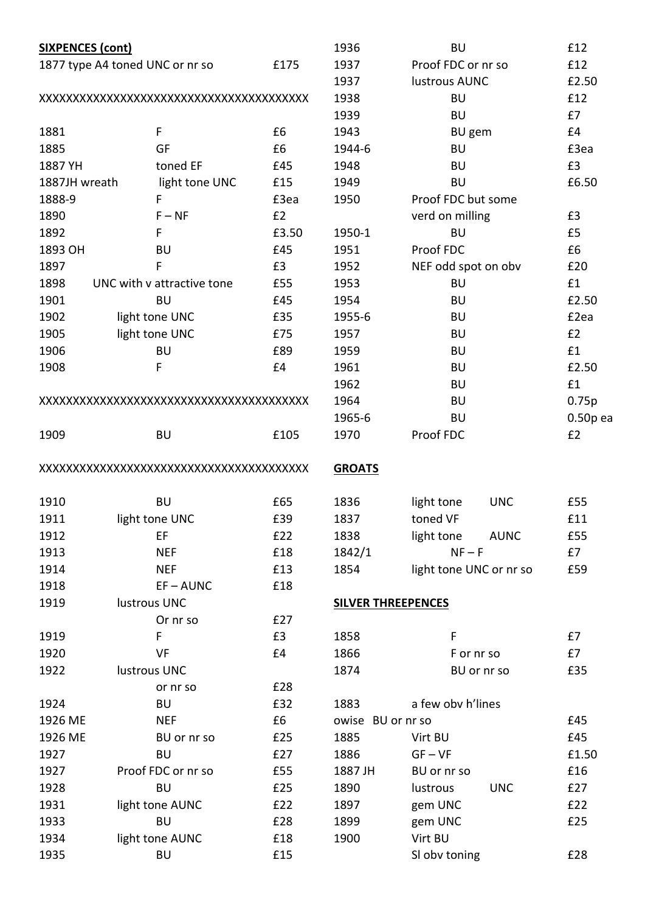| <b>SIXPENCES (cont)</b> |                                 | 1936  | <b>BU</b>                 | £12                       |            |
|-------------------------|---------------------------------|-------|---------------------------|---------------------------|------------|
|                         | 1877 type A4 toned UNC or nr so | £175  | 1937                      | Proof FDC or nr so        | £12        |
|                         |                                 | 1937  | lustrous AUNC             | £2.50                     |            |
|                         |                                 | 1938  | <b>BU</b>                 | £12                       |            |
|                         |                                 |       | 1939                      | <b>BU</b>                 | £7         |
| 1881                    | F                               | £6    | 1943                      | <b>BU</b> gem             | £4         |
| 1885                    | GF                              | £6    | 1944-6                    | <b>BU</b>                 | £3ea       |
| 1887 YH                 | toned EF                        | £45   | 1948                      | <b>BU</b>                 | £3         |
| 1887JH wreath           | light tone UNC                  | £15   | 1949                      | <b>BU</b>                 | £6.50      |
| 1888-9                  | F                               | £3ea  | 1950                      | Proof FDC but some        |            |
| 1890                    | $F - NF$                        | £2    |                           | verd on milling           | £3         |
| 1892                    | F                               | £3.50 | 1950-1                    | <b>BU</b>                 | £5         |
| 1893 OH                 | BU                              | £45   | 1951                      | Proof FDC                 | £6         |
| 1897                    | F                               | £3    | 1952                      | NEF odd spot on obv       | £20        |
| 1898                    | UNC with v attractive tone      | £55   | 1953                      | <b>BU</b>                 | £1         |
| 1901                    | <b>BU</b>                       | £45   | 1954                      | <b>BU</b>                 | £2.50      |
| 1902                    | light tone UNC                  | £35   | 1955-6                    | <b>BU</b>                 | £2ea       |
| 1905                    | light tone UNC                  | £75   | 1957                      | <b>BU</b>                 | £2         |
| 1906                    | <b>BU</b>                       | £89   | 1959                      | <b>BU</b>                 | £1         |
| 1908                    | F                               | £4    | 1961                      | <b>BU</b>                 | £2.50      |
|                         |                                 |       | 1962                      | <b>BU</b>                 | £1         |
|                         |                                 |       | 1964                      | <b>BU</b>                 | 0.75p      |
|                         |                                 |       | 1965-6                    | <b>BU</b>                 | $0.50p$ ea |
| 1909                    | <b>BU</b>                       | £105  | 1970                      | Proof FDC                 | £2         |
|                         |                                 |       | <b>GROATS</b>             |                           |            |
| 1910                    | <b>BU</b>                       | £65   | 1836                      | light tone<br><b>UNC</b>  | £55        |
| 1911                    | light tone UNC                  | £39   | 1837                      | toned VF                  | £11        |
| 1912                    | EF                              | £22   | 1838                      | light tone<br><b>AUNC</b> | £55        |
| 1913                    | <b>NEF</b>                      | £18   | 1842/1                    | $NF - F$                  | £7         |
| 1914                    | <b>NEF</b>                      | £13   | 1854                      | light tone UNC or nr so   | £59        |
| 1918                    | $EF - AUNC$                     | £18   |                           |                           |            |
| 1919                    | lustrous UNC                    |       | <b>SILVER THREEPENCES</b> |                           |            |
|                         | Or nr so                        | E27   |                           |                           |            |
| 1919                    | F                               | £3    | 1858                      | F                         | £7         |
| 1920                    | VF                              | £4    | 1866                      | F or nr so                | £7         |
| 1922                    | lustrous UNC                    |       | 1874                      | BU or nr so               | £35        |
|                         | or nr so                        | £28   |                           |                           |            |
| 1924                    | BU                              | £32   | 1883                      | a few obv h'lines         |            |
| 1926 ME                 | <b>NEF</b>                      | £6    | owise BU or nr so         |                           | £45        |
| 1926 ME                 | BU or nr so                     | £25   | 1885                      | Virt BU                   | £45        |
| 1927                    | <b>BU</b>                       | £27   | 1886                      | $GF - VF$                 | £1.50      |
| 1927                    | Proof FDC or nr so              | £55   | 1887 JH                   | BU or nr so               | £16        |
| 1928                    | <b>BU</b>                       | £25   | 1890                      | <b>UNC</b><br>lustrous    | £27        |
| 1931                    | light tone AUNC                 | £22   | 1897                      | gem UNC                   | £22        |
| 1933                    | <b>BU</b>                       | £28   | 1899                      | gem UNC                   | £25        |
| 1934                    | light tone AUNC                 | £18   | 1900                      | Virt BU                   |            |
| 1935                    | BU                              | £15   |                           | SI obv toning             | £28        |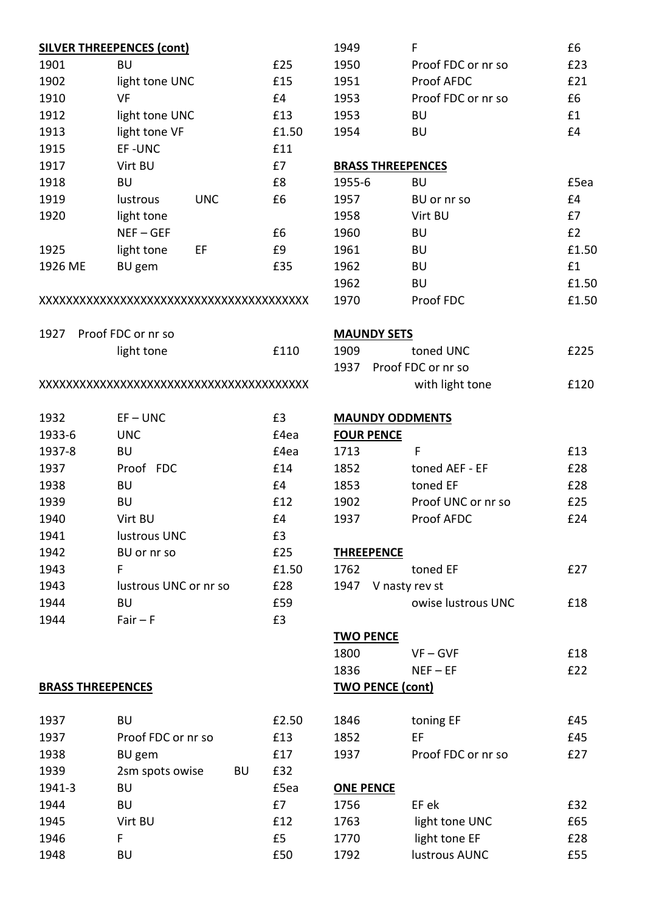|                          | <b>SILVER THREEPENCES (cont)</b> |       |
|--------------------------|----------------------------------|-------|
| 1901                     | BU                               | £25   |
| 1902                     | light tone UNC                   | £15   |
| 1910                     | VF                               | E4    |
| 1912                     | light tone UNC                   | £13   |
| 1913                     | light tone VF                    | £1.50 |
| 1915                     | EF-UNC                           | £11   |
| 1917                     | Virt BU                          | £7    |
| 1918                     | <b>BU</b>                        | £8    |
| 1919                     | lustrous<br><b>UNC</b>           | £6    |
| 1920                     | light tone                       |       |
|                          | $NEF - GEF$                      | £6    |
| 1925                     | light tone<br>EF                 | £9    |
| 1926 ME                  | <b>BU</b> gem                    | £35   |
|                          |                                  |       |
| 1927                     | Proof FDC or nr so               |       |
|                          | light tone                       | £110  |
|                          |                                  |       |
| 1932                     | $EF - UNC$                       | £3    |
| 1933-6                   | <b>UNC</b>                       | £4ea  |
| 1937-8                   | BU                               | £4ea  |
| 1937                     | Proof FDC                        | £14   |
| 1938                     | <b>BU</b>                        | £4    |
| 1939                     | BU                               | £12   |
| 1940                     | Virt BU                          | £4    |
| 1941                     | lustrous UNC                     | £3    |
| 1942                     | BU or nr so                      | £25   |
| 1943                     | F                                | £1.50 |
| 1943                     | lustrous UNC or nr so            | £28   |
| 1944                     | BU                               | £59   |
| 1944                     | $Fair - F$                       | £3    |
| <b>BRASS THREEPENCES</b> |                                  |       |
|                          |                                  |       |
| 1937                     | BU                               | £2.50 |
| 1937                     | Proof FDC or nr so               | £13   |
| 1938                     | BU gem                           | £17   |
| 1939                     | 2sm spots owise<br>BU            | £32   |
| 1941-3                   | BU                               | £5ea  |
| 1944                     | BU                               | £7    |
| 1945                     | Virt BU                          | £12   |
| 1946                     | F                                | £5    |
| 1948                     | BU                               | £50   |
|                          |                                  |       |

| 1949                     | F                  | £6    |
|--------------------------|--------------------|-------|
| 1950                     | Proof FDC or nr so | £23   |
| 1951                     | Proof AFDC         | £21   |
| 1953                     | Proof FDC or nr so | £6    |
| 1953                     | BU                 | £1    |
| 1954                     | BU                 | £4    |
|                          |                    |       |
| <b>BRASS THREEPENCES</b> |                    |       |
| 1955-6                   | BU                 | £5ea  |
| 1957                     | BU or nr so        | £4    |
| 1958                     | Virt BU            | £7    |
| 1960                     | BU                 | £2    |
| 1961                     | BU                 | £1.50 |
| 1962                     | BU                 | £1    |
| 1962                     | <b>BU</b>          | £1.50 |
| 1970                     | Proof FDC          | £1.50 |
|                          |                    |       |
| <b>MAUNDY SETS</b>       |                    |       |
| 1909                     | toned UNC          | £225  |
| 1937 Proof FDC or nr so  |                    |       |
|                          | with light tone    | £120  |
|                          |                    |       |
| <b>MAUNDY ODDMENTS</b>   |                    |       |
| <b>FOUR PENCE</b>        |                    |       |
| 1713                     | F                  | £13   |
| 1852                     | toned AEF - EF     | £28   |
| 1853                     | toned EF           | £28   |
| 1902                     | Proof UNC or nr so | £25   |
| 1937                     | <b>Proof AFDC</b>  | £24   |
|                          |                    |       |
| <b>THREEPENCE</b>        |                    |       |
| 1762                     | toned EF           | £27   |
| 1947 V nasty rev st      |                    |       |
|                          | owise lustrous UNC | £18   |
|                          |                    |       |
| <b>TWO PENCE</b>         |                    |       |
| 1800                     | $VF - GVF$         | £18   |
| 1836                     | $NEF - EF$         | £22   |
| <b>TWO PENCE (cont)</b>  |                    |       |
| 1846                     | toning EF          | £45   |
| 1852                     | ЕF                 | £45   |
| 1937                     | Proof FDC or nr so | £27   |
|                          |                    |       |
| <b>ONE PENCE</b>         |                    |       |
| 1756                     | EF ek              | £32   |
| 1763                     | light tone UNC     | £65   |
| 1770                     | light tone EF      | £28   |
| 1792                     | lustrous AUNC      | £55   |
|                          |                    |       |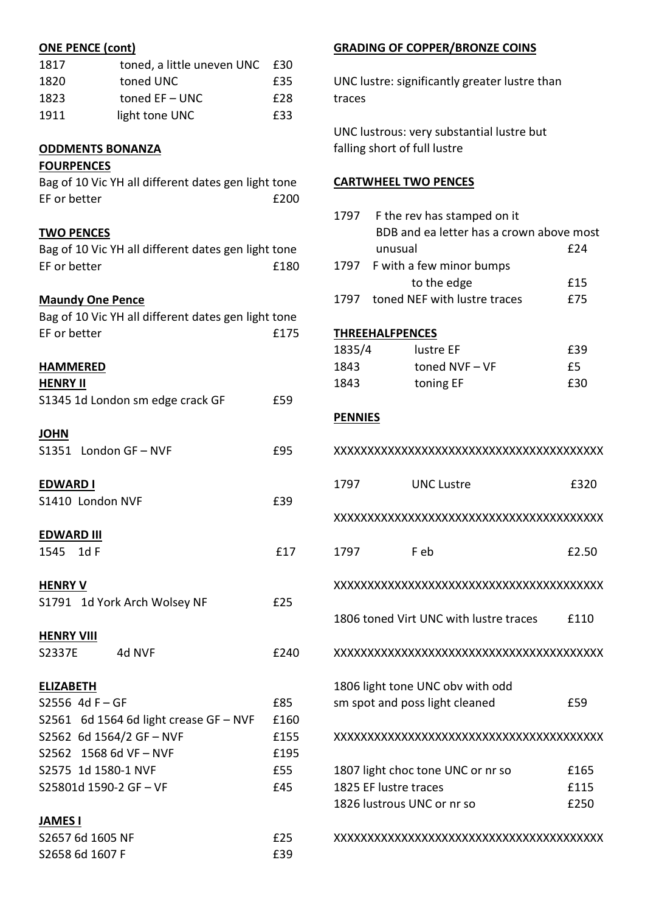# ONE PENCE (cont)

| 1817 | toned, a little uneven UNC £30 |     |
|------|--------------------------------|-----|
| 1820 | toned UNC                      | £35 |
| 1823 | toned $EF - UNC$               | £28 |
| 1911 | light tone UNC                 | £33 |

## ODDMENTS BONANZA

## **FOURPENCES**

| Bag of 10 Vic YH all different dates gen light tone |      |
|-----------------------------------------------------|------|
| EF or better                                        | £200 |

## TWO PENCES

Bag of 10 Vic YH all different dates gen light tone EF or better E180

# **Maundy One Pence**

| Bag of 10 Vic YH all different dates gen light tone<br>EF or better | £175 |
|---------------------------------------------------------------------|------|
| <b>HAMMERED</b><br><b>HENRY II</b>                                  |      |
| S1345 1d London sm edge crack GF                                    | £59  |
| <b>JOHN</b>                                                         |      |
| S1351 London GF-NVF                                                 | £95  |
| <b>EDWARD I</b>                                                     |      |
| S1410 London NVF                                                    | £39  |
| <b>EDWARD III</b>                                                   |      |
| 1545 1d F                                                           | £17  |
| <b>HENRY V</b>                                                      |      |
| S1791 1d York Arch Wolsey NF                                        | £25  |
| <b>HENRY VIII</b>                                                   |      |
| S2337E<br>4d NVF                                                    | £240 |
| <b>ELIZABETH</b>                                                    |      |
| S2556 4d F-GF                                                       | £85  |
| S2561 6d 1564 6d light crease GF - NVF                              | £160 |
| S2562 6d 1564/2 GF-NVF                                              | £155 |
| S2562 1568 6d VF-NVF                                                | £195 |
| S2575 1d 1580-1 NVF                                                 | £55  |
| S25801d 1590-2 GF - VF                                              | £45  |
| <b>JAMES I</b>                                                      |      |
| S2657 6d 1605 NF                                                    | £25  |
| S2658 6d 1607 F                                                     | £39  |

# GRADING OF COPPER/BRONZE COINS

UNC lustre: significantly greater lustre than traces

UNC lustrous: very substantial lustre but falling short of full lustre

### CARTWHEEL TWO PENCES

| 1797           | F the rev has stamped on it              |       |  |
|----------------|------------------------------------------|-------|--|
|                | BDB and ea letter has a crown above most |       |  |
|                | unusual                                  | £24   |  |
| 1797           | F with a few minor bumps                 |       |  |
|                | to the edge                              | £15   |  |
| 1797           | toned NEF with lustre traces             | £75   |  |
|                |                                          |       |  |
|                | <b>THREEHALFPENCES</b>                   |       |  |
| 1835/4         | lustre EF                                | £39   |  |
| 1843           | toned NVF-VF                             | £5    |  |
| 1843           | toning EF                                | £30   |  |
|                |                                          |       |  |
| <b>PENNIES</b> |                                          |       |  |
|                |                                          |       |  |
|                |                                          |       |  |
|                |                                          |       |  |
| 1797           | <b>UNC Lustre</b>                        | £320  |  |
|                |                                          |       |  |
|                |                                          |       |  |
|                |                                          |       |  |
| 1797           | F eb                                     | £2.50 |  |
|                |                                          |       |  |
|                |                                          |       |  |
|                |                                          |       |  |
|                | 1806 toned Virt UNC with lustre traces   | £110  |  |
|                |                                          |       |  |
|                |                                          |       |  |
|                |                                          |       |  |
|                | 1806 light tone UNC obv with odd         |       |  |
|                | sm spot and poss light cleaned           | £59   |  |
|                |                                          |       |  |
|                |                                          |       |  |
|                |                                          |       |  |
|                | 1807 light choc tone UNC or nr so        | £165  |  |
|                | 1825 EF lustre traces                    | £115  |  |
|                | 1826 lustrous UNC or nr so               | £250  |  |
|                |                                          |       |  |
|                |                                          |       |  |
|                |                                          |       |  |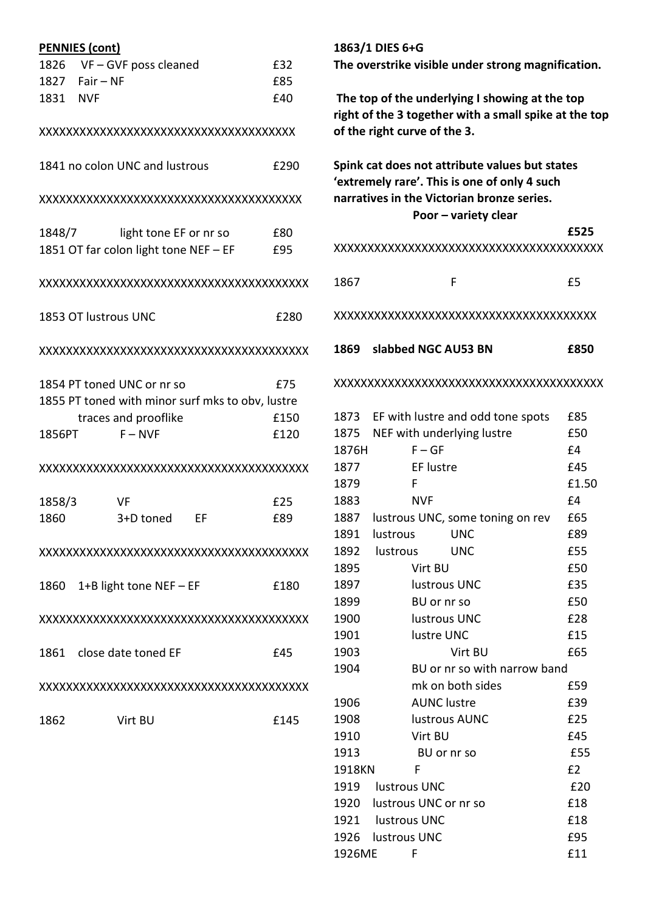| <b>PENNIES (cont)</b>                            |      | 1863/1 DIES 6+G                                                                                |       |
|--------------------------------------------------|------|------------------------------------------------------------------------------------------------|-------|
| 1826<br>$VF - GVF$ poss cleaned                  | £32  | The overstrike visible under strong magnification.                                             |       |
| 1827<br>$Fair - NF$                              | £85  |                                                                                                |       |
| 1831<br><b>NVF</b>                               | £40  | The top of the underlying I showing at the top                                                 |       |
|                                                  |      | right of the 3 together with a small spike at the top                                          |       |
| XXXXXXXXXXXXXXXXXXXXXXXXXXXXXXXXXXXXXX           |      | of the right curve of the 3.                                                                   |       |
| 1841 no colon UNC and lustrous                   | £290 | Spink cat does not attribute values but states<br>'extremely rare'. This is one of only 4 such |       |
|                                                  |      | narratives in the Victorian bronze series.<br>Poor - variety clear                             |       |
| 1848/7<br>light tone EF or nr so                 | £80  |                                                                                                | £525  |
| 1851 OT far colon light tone NEF - EF            | £95  |                                                                                                |       |
|                                                  |      | 1867<br>F                                                                                      | £5    |
| 1853 OT lustrous UNC                             | £280 |                                                                                                |       |
|                                                  |      | slabbed NGC AU53 BN<br>1869                                                                    | £850  |
| 1854 PT toned UNC or nr so                       | £75  |                                                                                                |       |
| 1855 PT toned with minor surf mks to obv, lustre |      |                                                                                                |       |
| traces and prooflike                             | £150 | EF with lustre and odd tone spots<br>1873                                                      | £85   |
| $F - NVF$<br>1856PT                              | £120 | NEF with underlying lustre<br>1875                                                             | £50   |
|                                                  |      | $F - GF$<br>1876H                                                                              | £4    |
|                                                  |      | EF lustre<br>1877                                                                              | £45   |
|                                                  |      | 1879<br>F                                                                                      | £1.50 |
| 1858/3<br>VF                                     | £25  | 1883<br><b>NVF</b>                                                                             | £4    |
| 1860<br>3+D toned<br>EF                          | £89  | 1887<br>lustrous UNC, some toning on rev                                                       | £65   |
|                                                  |      | 1891<br>lustrous<br><b>UNC</b>                                                                 | £89   |
|                                                  |      | 1892<br><b>UNC</b><br>lustrous                                                                 | £55   |
|                                                  |      | 1895<br>Virt BU                                                                                | £50   |
| 1+B light tone NEF $-$ EF<br>1860                | £180 | 1897<br>lustrous UNC                                                                           | £35   |
|                                                  |      | 1899<br>BU or nr so                                                                            | £50   |
|                                                  |      | 1900<br>lustrous UNC                                                                           | £28   |
|                                                  |      | 1901<br>lustre UNC                                                                             | £15   |
| close date toned EF<br>1861                      | £45  | 1903<br>Virt BU                                                                                | £65   |
|                                                  |      | 1904<br>BU or nr so with narrow band                                                           |       |
|                                                  |      | mk on both sides                                                                               | £59   |
|                                                  |      | <b>AUNC</b> lustre<br>1906                                                                     | £39   |
| 1862<br>Virt BU                                  | £145 | 1908<br>lustrous AUNC                                                                          | £25   |
|                                                  |      | 1910<br>Virt BU                                                                                | £45   |
|                                                  |      | 1913<br>BU or nr so                                                                            | £55   |
|                                                  |      | 1918KN<br>F                                                                                    | E2    |
|                                                  |      | 1919<br>lustrous UNC                                                                           | £20   |

1920 lustrous UNC or nr so **E18** 1921 lustrous UNC 618 1926 lustrous UNC 695 1926ME F £11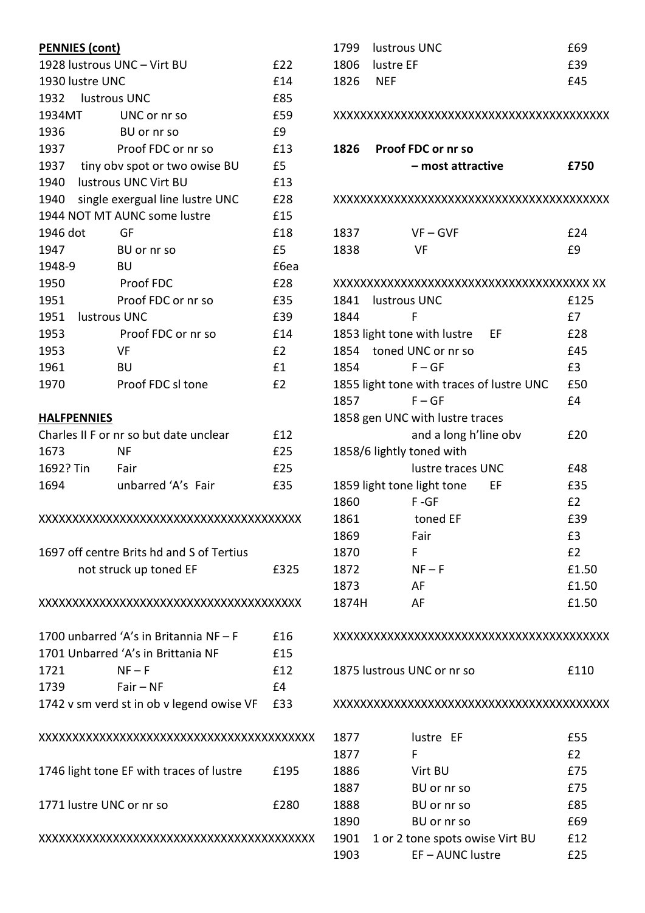| <b>PENNIES (cont)</b>                         |                                      |      |  |
|-----------------------------------------------|--------------------------------------|------|--|
|                                               | 1928 lustrous UNC - Virt BU<br>£22   |      |  |
| 1930 lustre UNC                               |                                      | £14  |  |
| 1932 lustrous UNC                             |                                      | £85  |  |
| 1934MT                                        | UNC or nr so                         | £59  |  |
| 1936                                          | BU or nr so                          | £9   |  |
| 1937                                          | Proof FDC or nr so                   | £13  |  |
|                                               | 1937 tiny obv spot or two owise BU   | £5   |  |
| 1940 lustrous UNC Virt BU                     |                                      | £13  |  |
|                                               | 1940 single exergual line lustre UNC | £28  |  |
|                                               | 1944 NOT MT AUNC some lustre         | £15  |  |
| 1946 dot                                      | <b>GF</b>                            | £18  |  |
| 1947                                          | BU or nr so                          | £5   |  |
| 1948-9                                        | BU                                   | £6ea |  |
| 1950                                          | Proof FDC                            | £28  |  |
| 1951                                          | Proof FDC or nr so                   | £35  |  |
| 1951 lustrous UNC                             |                                      | £39  |  |
| 1953                                          | Proof FDC or nr so                   | £14  |  |
| 1953                                          | VF                                   | £2   |  |
| 1961                                          | BU                                   | £1   |  |
| 1970                                          | Proof FDC sl tone                    | E2   |  |
|                                               |                                      |      |  |
| <b>HALFPENNIES</b>                            |                                      |      |  |
| Charles II F or nr so but date unclear<br>£12 |                                      |      |  |
| 1673                                          | <b>NF</b>                            | £25  |  |
| 1692? Tin                                     | Fair                                 | £25  |  |
| 1694                                          | unbarred 'A's Fair                   | £35  |  |
|                                               |                                      |      |  |
| 1697 off centre Brits hd and S of Tertius     |                                      |      |  |

#### XXXXXXXXXXXXXXXXXXXXXXXXXXXXXXXXXXXXXXX

not struck up toned EF 6325

|                                    | 1700 unbarred 'A's in Britannia NF $-$ F  | £16 |
|------------------------------------|-------------------------------------------|-----|
| 1701 Unbarred 'A's in Brittania NF |                                           | £15 |
| 1721                               | $NF-F$                                    | f12 |
| 1739                               | $Fair - NF$                               | f4  |
|                                    | 1742 v sm verd st in ob v legend owise VF | £33 |
|                                    |                                           |     |

# XXXXXXXXXXXXXXXXXXXXXXXXXXXXXXXXXXXXXXXXX

| 1746 light tone EF with traces of lustre | £195 |
|------------------------------------------|------|
| 1771 lustre UNC or nr so                 | £280 |

XXXXXXXXXXXXXXXXXXXXXXXXXXXXXXXXXXXXXXXXX

| 1799  | lustrous UNC                              | £69   |
|-------|-------------------------------------------|-------|
| 1806  | lustre EF                                 | £39   |
| 1826  | <b>NEF</b>                                | £45   |
|       |                                           |       |
|       |                                           |       |
| 1826  | Proof FDC or nr so                        |       |
|       | – most attractive                         | £750  |
|       |                                           |       |
|       |                                           |       |
| 1837  | $VF - GVF$                                | £24   |
| 1838  | VF                                        | £9    |
|       |                                           |       |
|       |                                           |       |
|       | 1841 lustrous UNC                         | £125  |
| 1844  | F                                         | £7    |
|       | 1853 light tone with lustre EF            | £28   |
|       | 1854 toned UNC or nr so                   | £45   |
| 1854  | $F - GF$                                  | £3    |
|       | 1855 light tone with traces of lustre UNC | £50   |
| 1857  | $F - GF$                                  | £4    |
|       | 1858 gen UNC with lustre traces           |       |
|       | and a long h'line obv                     | £20   |
|       | 1858/6 lightly toned with                 |       |
|       | lustre traces UNC                         | £48   |
|       | 1859 light tone light tone<br>ΕF          | £35   |
| 1860  | F-GF                                      | £2    |
| 1861  | toned EF                                  | £39   |
| 1869  | Fair                                      | £3    |
| 1870  | F                                         | E2    |
| 1872  | $NF - F$                                  | £1.50 |
| 1873  | AF                                        | £1.50 |
| 1874H | AF                                        | £1.50 |
|       |                                           |       |
|       |                                           |       |
|       |                                           |       |
|       | 1875 lustrous UNC or nr so                | £110  |
|       |                                           |       |
|       |                                           |       |
|       |                                           |       |
| 1877  | lustre EF                                 | £55   |
| 1877  | F                                         | E2    |
| 1886  | Virt BU                                   | £75   |
| 1887  | BU or nr so                               | £75   |
| 1888  | BU or nr so                               | £85   |

1890 BU or nr so 69 1901 1 or 2 tone spots owise Virt BU £12 1903 EF – AUNC lustre 625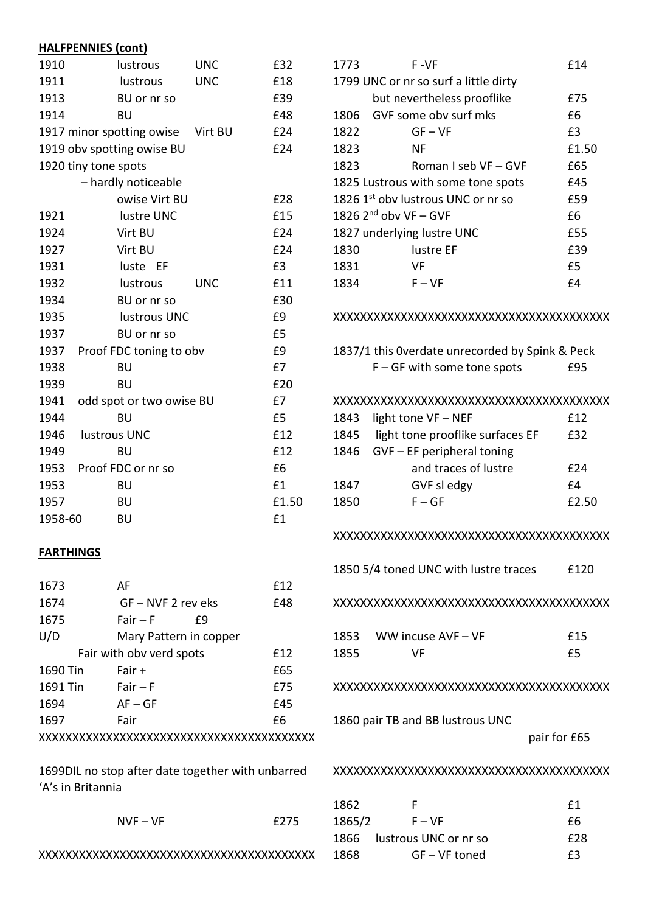# HALFPENNIES (cont)

| 1910    | lustrous                   | <b>UNC</b> | £32   |
|---------|----------------------------|------------|-------|
| 1911    | lustrous                   | <b>UNC</b> | £18   |
| 1913    | BU or nr so                |            | £39   |
| 1914    | BU                         |            | £48   |
|         | 1917 minor spotting owise  | Virt BU    | £24   |
|         | 1919 obv spotting owise BU |            | £24   |
|         | 1920 tiny tone spots       |            |       |
|         | - hardly noticeable        |            |       |
|         | owise Virt BU              |            | £28   |
| 1921    | lustre UNC                 |            | £15   |
| 1924    | Virt BU                    |            | £24   |
| 1927    | Virt BU                    |            | £24   |
| 1931    | luste EF                   |            | £3    |
| 1932    | lustrous                   | <b>UNC</b> | £11   |
| 1934    | BU or nr so                |            | £30   |
| 1935    | lustrous UNC               |            | £9    |
| 1937    | BU or nr so                |            | £5    |
| 1937    | Proof FDC toning to obv    |            | £9    |
| 1938    | BU                         |            | £7    |
| 1939    | BU                         |            | £20   |
| 1941    | odd spot or two owise BU   |            | £7    |
| 1944    | BU                         |            | £5    |
| 1946    | lustrous UNC               |            | £12   |
| 1949    | <b>BU</b>                  |            | £12   |
| 1953    | Proof FDC or nr so         |            | £6    |
| 1953    | <b>BU</b>                  |            | £1    |
| 1957    | BU                         |            | £1.50 |
| 1958-60 | BU                         |            | £1    |

## FARTHINGS

| 1673     | AF                       | f12  |  |
|----------|--------------------------|------|--|
| 1674     | GF – NVF 2 rev eks       | £48  |  |
| 1675     | $Fair - F$<br>£9         |      |  |
| U/D      | Mary Pattern in copper   |      |  |
|          | Fair with obv verd spots | f 12 |  |
| 1690 Tin | Fair +                   | £65  |  |
| 1691 Tin | $Fair-F$                 | £75  |  |
| 1694     | $AF - GF$                | £45  |  |
| 1697     | Fair                     | £6   |  |
|          |                          |      |  |
|          |                          |      |  |

1699DIL no stop after date together with unbarred 'A's in Britannia

 $NVF - VF$   $f275$ 

XXXXXXXXXXXXXXXXXXXXXXXXXXXXXXXXXXXXXXXXX

| 1773                               | F -VF                                          | £14   |
|------------------------------------|------------------------------------------------|-------|
|                                    | 1799 UNC or nr so surf a little dirty          |       |
|                                    | but nevertheless prooflike                     | £75   |
| 1806                               | GVE some oby surf mks                          | £б    |
| 1822                               | $GF - VF$                                      | £3    |
| 1823                               | ΝF                                             | £1.50 |
| 1823                               | Roman I seb VF – GVF                           | £65   |
| 1825 Lustrous with some tone spots |                                                | £45   |
|                                    | 1826 1 <sup>st</sup> oby lustrous UNC or nr so | £59   |
|                                    | 1826 $2^{nd}$ obv VF – GVF                     | £б    |
|                                    | 1827 underlying lustre UNC                     | £55   |
| 1830                               | lustre EF                                      | £39   |
| 1831                               | VF                                             | £5    |
| 1834                               | $F - VF$                                       | £4    |

#### XXXXXXXXXXXXXXXXXXXXXXXXXXXXXXXXXXXXXXXXX

1837/1 this 0verdate unrecorded by Spink & Peck  $F - GF$  with some tone spots  $E95$ 

## XXXXXXXXXXXXXXXXXXXXXXXXXXXXXXXXXXXXXXXXX

|      | 1843 light tone VF - NEF         | f12   |
|------|----------------------------------|-------|
| 1845 | light tone prooflike surfaces EF | £32   |
|      | 1846 GVF - EF peripheral toning  |       |
|      | and traces of lustre             | f24   |
| 1847 | GVF sledgy                       | f4    |
| 1850 | $F - GF$                         | £2.50 |
|      |                                  |       |

#### XXXXXXXXXXXXXXXXXXXXXXXXXXXXXXXXXXXXXXXXX

| 1850 5/4 toned UNC with lustre traces | £120 |
|---------------------------------------|------|
|                                       |      |

### XXXXXXXXXXXXXXXXXXXXXXXXXXXXXXXXXXXXXXXXX

|      | 1853 WW incuse AVF - VF | £15 |
|------|-------------------------|-----|
| 1855 | VF                      | £5  |

#### XXXXXXXXXXXXXXXXXXXXXXXXXXXXXXXXXXXXXXXXX

1860 pair TB and BB lustrous UNC

pair for £65

#### XXXXXXXXXXXXXXXXXXXXXXXXXXXXXXXXXXXXXXXXX

| 1862   |                            | £1         |
|--------|----------------------------|------------|
| 1865/2 | $F - VF$                   | fб         |
|        | 1866 lustrous UNC or nr so | <b>£28</b> |
| 1868   | $GF - VF$ toned            | £3         |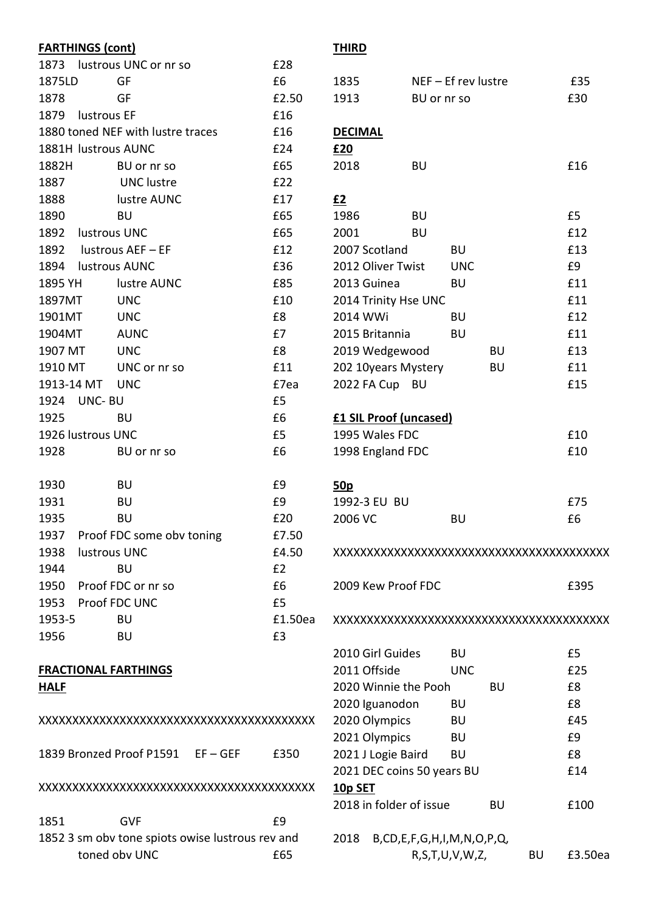| <b>FARTHINGS (cont)</b> |                                                  |         | <b>THI</b>      |
|-------------------------|--------------------------------------------------|---------|-----------------|
|                         | 1873 lustrous UNC or nr so                       | £28     |                 |
| 1875LD                  | GF                                               | £6      | 183             |
| 1878                    | GF                                               | £2.50   | 191             |
| 1879 lustrous EF        |                                                  | £16     |                 |
|                         | 1880 toned NEF with lustre traces                | £16     | DE <sub>C</sub> |
| 1881H lustrous AUNC     |                                                  | £24     | £20             |
| 1882H                   | BU or nr so                                      | £65     | 201             |
| 1887                    | <b>UNC</b> lustre                                | £22     |                 |
| 1888                    | lustre AUNC                                      | £17     | £2              |
| 1890                    | <b>BU</b>                                        | £65     | 198             |
| 1892 lustrous UNC       |                                                  | £65     | 200             |
|                         | 1892 lustrous AEF - EF                           | £12     | 200             |
| 1894                    | lustrous AUNC                                    | £36     | 201             |
| 1895 YH                 | lustre AUNC                                      | £85     | 201             |
| 1897MT                  | <b>UNC</b>                                       | £10     | 201             |
| 1901MT                  | <b>UNC</b>                                       | £8      | 201             |
| 1904MT                  | <b>AUNC</b>                                      | £7      | 201             |
| 1907 MT                 | <b>UNC</b>                                       | £8      | 201             |
| 1910 MT                 | UNC or nr so                                     | £11     | 202             |
| 1913-14 MT UNC          |                                                  | £7ea    | 202             |
| 1924 UNC- BU            |                                                  | £5      |                 |
| 1925                    | <b>BU</b>                                        | £6      | £1              |
| 1926 lustrous UNC       |                                                  | £5      | <b>199</b>      |
| 1928                    | BU or nr so                                      | £6      | 199             |
| 1930                    | <b>BU</b>                                        | £9      | <u>50p</u>      |
| 1931                    | <b>BU</b>                                        | £9      | 199             |
| 1935                    | <b>BU</b>                                        | £20     | 200             |
|                         | 1937 Proof FDC some obv toning                   | £7.50   |                 |
| 1938                    | lustrous UNC                                     | £4.50   | XXX             |
| 1944                    | <b>BU</b>                                        | £2      |                 |
|                         | 1950 Proof FDC or nr so                          | £6      | 20C             |
| 1953 Proof FDC UNC      |                                                  | £5      |                 |
| 1953-5                  | <b>BU</b>                                        | £1.50ea | XXX             |
| 1956                    | <b>BU</b>                                        | £3      |                 |
|                         |                                                  |         | 201             |
|                         | <b>FRACTIONAL FARTHINGS</b>                      |         | 201             |
| <u>HALF</u>             |                                                  |         | 202             |
|                         |                                                  |         | 202             |
|                         |                                                  |         | 202             |
|                         |                                                  |         | 202             |
|                         | 1839 Bronzed Proof P1591 EF-GEF                  | £350    | 202             |
|                         |                                                  |         | 202             |
|                         |                                                  |         | <u> 10p</u>     |
|                         |                                                  |         | 201             |
| 1851                    | <b>GVF</b>                                       | £9      |                 |
|                         | 1852 3 sm obv tone spiots owise lustrous rev and |         | 201             |
|                         | toned obv UNC                                    | £65     |                 |

# <u>IRD</u>

| 1835                          | $NEF - Ef$ rev lustre                |    | £35     |
|-------------------------------|--------------------------------------|----|---------|
| 1913                          | BU or nr so                          |    | £30     |
|                               |                                      |    |         |
| <b>DECIMAL</b>                |                                      |    |         |
| <u>£20</u>                    |                                      |    |         |
| 2018                          | <b>BU</b>                            |    | £16     |
|                               |                                      |    |         |
| <u>£2</u>                     |                                      |    |         |
| 1986                          | <b>BU</b>                            |    | £5      |
| 2001                          | BU                                   |    | £12     |
| 2007 Scotland                 | BU                                   |    | £13     |
| 2012 Oliver Twist             | <b>UNC</b>                           |    | £9      |
| 2013 Guinea                   | BU                                   |    | £11     |
| 2014 Trinity Hse UNC          |                                      |    | £11     |
| 2014 WWi                      | BU                                   |    | £12     |
| 2015 Britannia                | BU                                   |    | £11     |
| 2019 Wedgewood                |                                      | BU | £13     |
| 202 10years Mystery           |                                      | BU | £11     |
| 2022 FA Cup                   | BU                                   |    | £15     |
|                               |                                      |    |         |
| <b>£1 SIL Proof (uncased)</b> |                                      |    |         |
| 1995 Wales FDC                |                                      |    | £10     |
| 1998 England FDC              |                                      |    | £10     |
|                               |                                      |    |         |
| 50 <sub>p</sub>               |                                      |    |         |
| 1992-3 EU BU                  |                                      |    | £75     |
| 2006 VC                       | BU                                   |    | £6      |
|                               |                                      |    |         |
|                               |                                      |    |         |
|                               |                                      |    |         |
| 2009 Kew Proof FDC            |                                      |    | £395    |
|                               |                                      |    |         |
|                               |                                      |    |         |
|                               |                                      |    |         |
| 2010 Girl Guides              | BU                                   |    | £5      |
| 2011 Offside                  | UNC                                  |    | £25     |
| 2020 Winnie the Pooh          |                                      | BU | £8      |
| 2020 Iguanodon                | BU                                   |    | £8      |
| 2020 Olympics                 | BU                                   |    | £45     |
| 2021 Olympics                 | BU                                   |    | £9      |
| 2021 J Logie Baird            | BU                                   |    | £8      |
|                               | 2021 DEC coins 50 years BU           |    | £14     |
| <u>10p SET</u>                |                                      |    |         |
| 2018 in folder of issue       |                                      | BU | £100    |
|                               |                                      |    |         |
| 2018                          | B, CD, E, F, G, H, I, M, N, O, P, Q, |    |         |
|                               | R, S, T, U, V, W, Z,                 | BU | £3.50ea |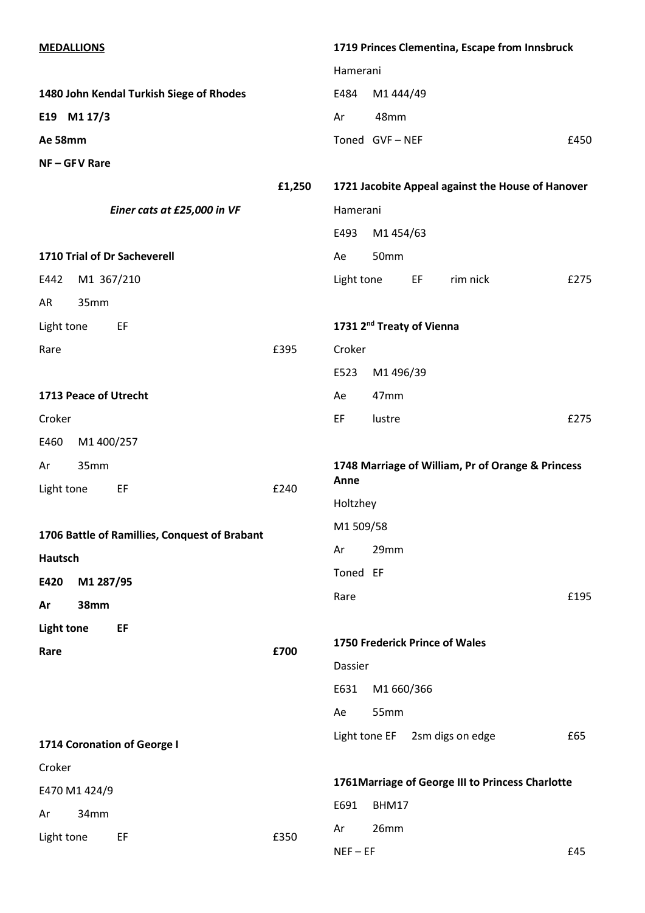| <b>MEDALLIONS</b> |                                               |        | 1719 Princes Clementina, Escape from Innsbruck    |               |                                       |                                |                                                   |  |
|-------------------|-----------------------------------------------|--------|---------------------------------------------------|---------------|---------------------------------------|--------------------------------|---------------------------------------------------|--|
|                   |                                               |        | Hamerani                                          |               |                                       |                                |                                                   |  |
|                   | 1480 John Kendal Turkish Siege of Rhodes      |        | E484                                              | M1 444/49     |                                       |                                |                                                   |  |
|                   | E19 M1 17/3                                   |        | Ar                                                | 48mm          |                                       |                                |                                                   |  |
| Ae 58mm           |                                               |        |                                                   | Toned GVF-NEF |                                       |                                | £450                                              |  |
|                   | NF-GFV Rare                                   |        |                                                   |               |                                       |                                |                                                   |  |
|                   |                                               | £1,250 | 1721 Jacobite Appeal against the House of Hanover |               |                                       |                                |                                                   |  |
|                   | Einer cats at £25,000 in VF                   |        | Hamerani                                          |               |                                       |                                |                                                   |  |
|                   |                                               |        | E493                                              |               |                                       |                                |                                                   |  |
|                   | 1710 Trial of Dr Sacheverell                  |        | Ae                                                | 50mm          |                                       |                                |                                                   |  |
| E442              | M1 367/210                                    |        | Light tone                                        |               | EF                                    | rim nick                       | £275                                              |  |
| AR                | 35mm                                          |        |                                                   |               |                                       |                                |                                                   |  |
| Light tone        | EF                                            |        |                                                   |               | 1731 2 <sup>nd</sup> Treaty of Vienna |                                |                                                   |  |
| Rare              |                                               | £395   | Croker                                            |               |                                       |                                |                                                   |  |
|                   |                                               |        | E523                                              | M1 496/39     |                                       |                                |                                                   |  |
|                   | 1713 Peace of Utrecht                         |        | Ae                                                | 47mm          |                                       |                                |                                                   |  |
| Croker            |                                               |        | EF                                                | lustre        |                                       |                                | £275                                              |  |
| E460              | M1 400/257                                    |        |                                                   |               |                                       |                                |                                                   |  |
|                   |                                               |        |                                                   |               |                                       |                                |                                                   |  |
| Ar                | 35mm                                          |        |                                                   |               |                                       |                                | 1748 Marriage of William, Pr of Orange & Princess |  |
| Light tone        | EF                                            | £240   | Anne                                              |               |                                       |                                |                                                   |  |
|                   |                                               |        | Holtzhey                                          |               |                                       |                                |                                                   |  |
|                   | 1706 Battle of Ramillies, Conquest of Brabant |        | M1509/58                                          |               |                                       |                                |                                                   |  |
| Hautsch           |                                               |        | Ar                                                | 29mm          |                                       |                                |                                                   |  |
| E420              | M1 287/95                                     |        | Toned EF                                          |               |                                       |                                |                                                   |  |
| Ar                | <b>38mm</b>                                   |        | Rare                                              |               |                                       |                                | £195                                              |  |
| <b>Light tone</b> | EF                                            |        |                                                   |               |                                       |                                |                                                   |  |
| Rare              |                                               | £700   |                                                   |               |                                       | 1750 Frederick Prince of Wales |                                                   |  |
|                   |                                               |        | Dassier                                           |               |                                       |                                |                                                   |  |
|                   |                                               |        | E631                                              | M1 660/366    |                                       |                                |                                                   |  |
|                   |                                               |        | Ae                                                | 55mm          |                                       |                                |                                                   |  |
|                   | 1714 Coronation of George I                   |        | Light tone EF                                     |               |                                       | 2sm digs on edge               | £65                                               |  |
| Croker            |                                               |        |                                                   |               |                                       |                                |                                                   |  |
|                   | E470 M1 424/9                                 |        | E691                                              | BHM17         |                                       |                                | 1761 Marriage of George III to Princess Charlotte |  |
| Ar<br>Light tone  | 34mm<br>EF                                    | £350   | Ar                                                | 26mm          |                                       |                                |                                                   |  |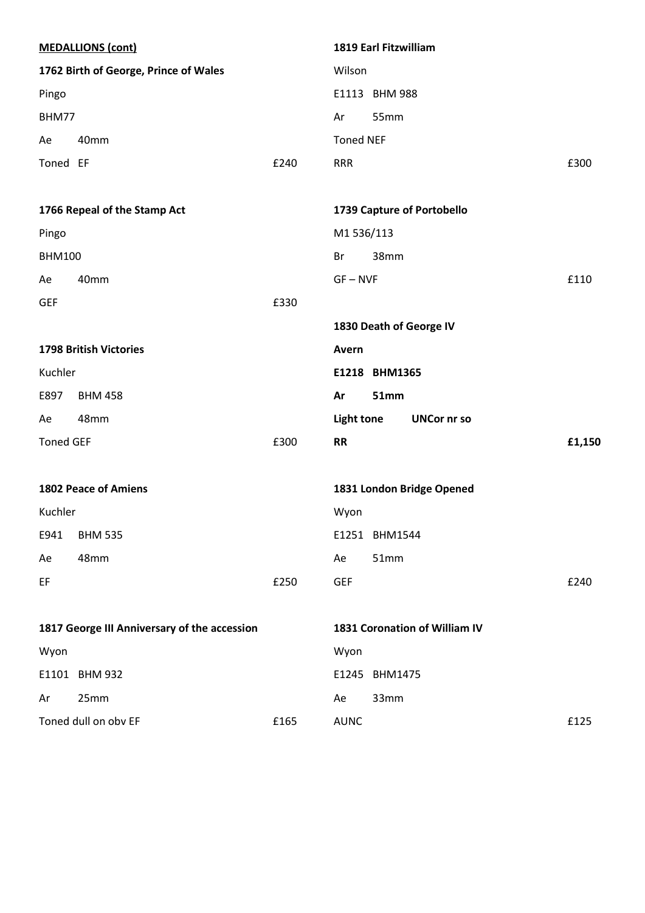|                  | <b>MEDALLIONS (cont)</b>                     |      |                   | 1819 Earl Fitzwilliam |                               |        |
|------------------|----------------------------------------------|------|-------------------|-----------------------|-------------------------------|--------|
|                  | 1762 Birth of George, Prince of Wales        |      | Wilson            |                       |                               |        |
| Pingo            |                                              |      |                   | E1113 BHM 988         |                               |        |
| BHM77            |                                              |      | Ar                | 55mm                  |                               |        |
| Ae               | 40mm                                         |      | <b>Toned NEF</b>  |                       |                               |        |
| Toned EF         |                                              | £240 | <b>RRR</b>        |                       |                               | £300   |
|                  | 1766 Repeal of the Stamp Act                 |      |                   |                       | 1739 Capture of Portobello    |        |
| Pingo            |                                              |      | M1536/113         |                       |                               |        |
| <b>BHM100</b>    |                                              |      | Br                | 38mm                  |                               |        |
| Ae               | 40mm                                         |      | $GF - NVF$        |                       |                               | £110   |
| <b>GEF</b>       |                                              | £330 |                   |                       |                               |        |
|                  |                                              |      |                   |                       | 1830 Death of George IV       |        |
|                  | <b>1798 British Victories</b>                |      | Avern             |                       |                               |        |
| Kuchler          |                                              |      |                   | E1218 BHM1365         |                               |        |
| E897             | <b>BHM 458</b>                               |      | Ar                | <b>51mm</b>           |                               |        |
| Ae               | 48mm                                         |      | <b>Light tone</b> |                       | <b>UNCor nr so</b>            |        |
| <b>Toned GEF</b> |                                              | £300 | <b>RR</b>         |                       |                               | £1,150 |
|                  | <b>1802 Peace of Amiens</b>                  |      |                   |                       | 1831 London Bridge Opened     |        |
| Kuchler          |                                              |      | Wyon              |                       |                               |        |
| E941             | <b>BHM 535</b>                               |      |                   | E1251 BHM1544         |                               |        |
| Ae               | 48mm                                         |      | Ae                | 51mm                  |                               |        |
| EF               |                                              | £250 | <b>GEF</b>        |                       |                               | £240   |
|                  | 1817 George III Anniversary of the accession |      |                   |                       | 1831 Coronation of William IV |        |
| Wyon             |                                              |      | Wyon              |                       |                               |        |
|                  |                                              |      |                   |                       |                               |        |
|                  | E1101 BHM 932                                |      | E1245 BHM1475     |                       |                               |        |
| Ar               | 25mm                                         |      | Ae                | 33mm                  |                               |        |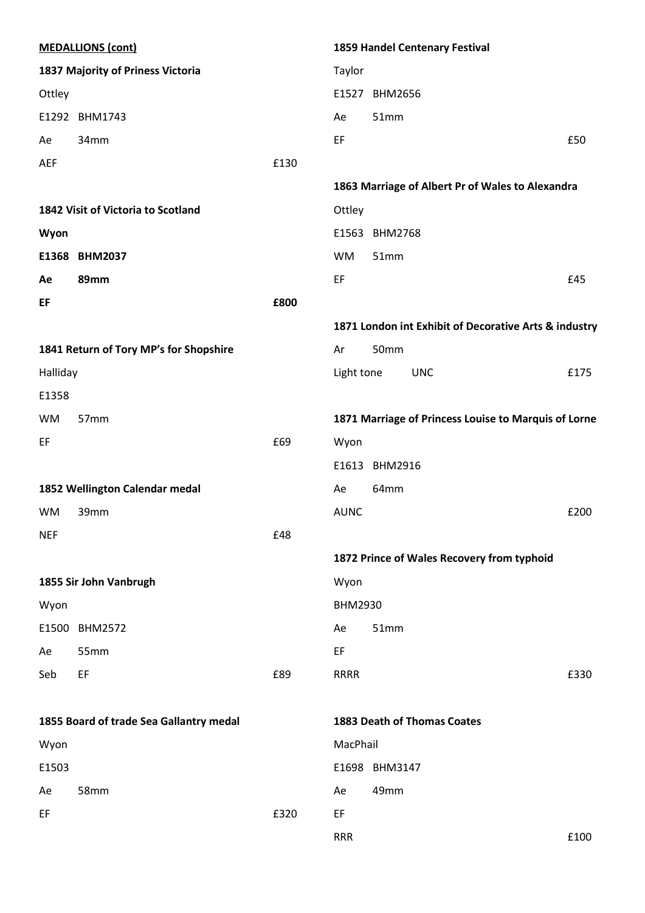| <b>MEDALLIONS (cont)</b> |                                         |      | 1859 Handel Centenary Festival                        |      |  |  |
|--------------------------|-----------------------------------------|------|-------------------------------------------------------|------|--|--|
|                          | 1837 Majority of Priness Victoria       |      | Taylor                                                |      |  |  |
| Ottley                   |                                         |      | E1527 BHM2656                                         |      |  |  |
|                          | E1292 BHM1743                           |      | 51mm<br>Ae                                            |      |  |  |
| Ae                       | 34mm                                    |      | EF                                                    | £50  |  |  |
| <b>AEF</b>               |                                         | £130 |                                                       |      |  |  |
|                          |                                         |      | 1863 Marriage of Albert Pr of Wales to Alexandra      |      |  |  |
|                          | 1842 Visit of Victoria to Scotland      |      | Ottley                                                |      |  |  |
| Wyon                     |                                         |      | E1563 BHM2768                                         |      |  |  |
|                          | E1368 BHM2037                           |      | <b>WM</b><br>51mm                                     |      |  |  |
| Ae                       | 89mm                                    |      | EF                                                    | £45  |  |  |
| EF                       |                                         | £800 |                                                       |      |  |  |
|                          |                                         |      | 1871 London int Exhibit of Decorative Arts & industry |      |  |  |
|                          | 1841 Return of Tory MP's for Shopshire  |      | 50mm<br>Ar                                            |      |  |  |
| Halliday                 |                                         |      | Light tone<br><b>UNC</b>                              | £175 |  |  |
| E1358                    |                                         |      |                                                       |      |  |  |
| <b>WM</b>                | 57mm                                    |      | 1871 Marriage of Princess Louise to Marquis of Lorne  |      |  |  |
| EF                       |                                         | £69  | Wyon                                                  |      |  |  |
|                          |                                         |      | E1613<br><b>BHM2916</b>                               |      |  |  |
|                          | 1852 Wellington Calendar medal          |      | 64mm<br>Ae                                            |      |  |  |
| <b>WM</b>                | 39mm                                    |      | <b>AUNC</b>                                           | £200 |  |  |
| <b>NEF</b>               |                                         | £48  |                                                       |      |  |  |
|                          |                                         |      | 1872 Prince of Wales Recovery from typhoid            |      |  |  |
|                          | 1855 Sir John Vanbrugh                  |      | Wyon                                                  |      |  |  |
| Wyon                     |                                         |      | <b>BHM2930</b>                                        |      |  |  |
|                          | E1500 BHM2572                           |      | 51mm<br>Ae                                            |      |  |  |
| Ae                       | 55mm                                    |      | EF                                                    |      |  |  |
| Seb                      | EF                                      | £89  | <b>RRRR</b>                                           | £330 |  |  |
|                          | 1855 Board of trade Sea Gallantry medal |      | <b>1883 Death of Thomas Coates</b>                    |      |  |  |
| Wyon                     |                                         |      | MacPhail                                              |      |  |  |
| E1503                    |                                         |      | E1698 BHM3147                                         |      |  |  |
| Ae                       | 58mm                                    |      | 49mm<br>Ae                                            |      |  |  |
| EF                       |                                         | £320 | EF                                                    |      |  |  |
|                          |                                         |      | <b>RRR</b>                                            | £100 |  |  |